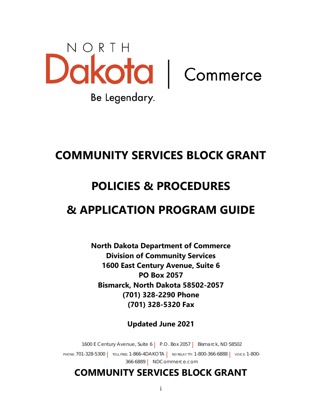

# **COMMUNITY SERVICES BLOCK GRANT**

# **POLICIES & PROCEDURES**

# **& APPLICATION PROGRAM GUIDE**

**North Dakota Department of Commerce Division of Community Services 1600 East Century Avenue, Suite 6 PO Box 2057 Bismarck, North Dakota 58502-2057 (701) 328-2290 Phone (701) 328-5320 Fax**

**Updated June 2021**

1600 E Century Avenue, Suite 6 | P.O. Box 2057 | Bismarck, ND 58502 PHONE: 701-328-5300 | TOLL FREE: 1-866-4DAKOTA | ND RELAY TTY: 1-800-366-6888 | VOICE: 1-800-366-6889 | NDCommerce.com

# **COMMUNITY SERVICES BLOCK GRANT**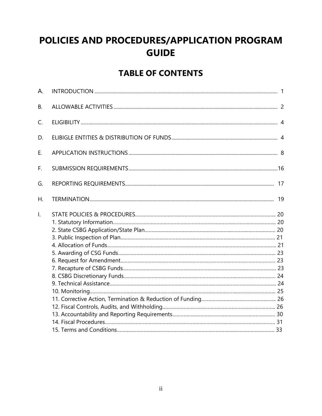# POLICIES AND PROCEDURES/APPLICATION PROGRAM **GUIDE**

# **TABLE OF CONTENTS**

| А. |  |
|----|--|
| В. |  |
| C. |  |
| D. |  |
| Ε. |  |
| F. |  |
| G. |  |
| Η. |  |
| I. |  |
|    |  |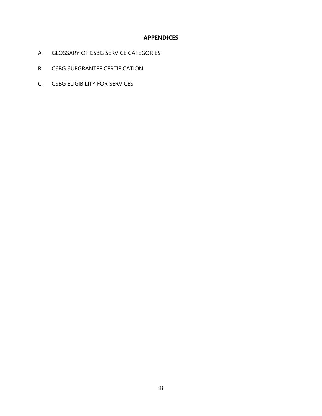#### **APPENDICES**

- A. GLOSSARY OF CSBG SERVICE CATEGORIES
- B. CSBG SUBGRANTEE CERTIFICATION
- C. CSBG ELIGIBILITY FOR SERVICES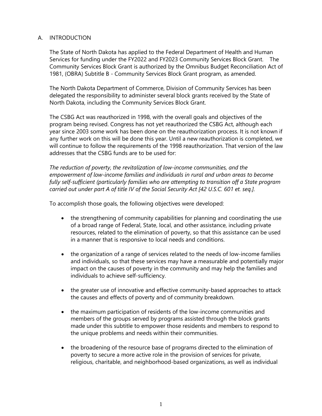#### A. INTRODUCTION

The State of North Dakota has applied to the Federal Department of Health and Human Services for funding under the FY2022 and FY2023 Community Services Block Grant. The Community Services Block Grant is authorized by the Omnibus Budget Reconciliation Act of 1981, (OBRA) Subtitle B - Community Services Block Grant program, as amended.

The North Dakota Department of Commerce, Division of Community Services has been delegated the responsibility to administer several block grants received by the State of North Dakota, including the Community Services Block Grant.

The CSBG Act was reauthorized in 1998, with the overall goals and objectives of the program being revised. Congress has not yet reauthorized the CSBG Act, although each year since 2003 some work has been done on the reauthorization process. It is not known if any further work on this will be done this year. Until a new reauthorization is completed, we will continue to follow the requirements of the 1998 reauthorization. That version of the law addresses that the CSBG funds are to be used for:

*The reduction of poverty, the revitalization of low-income communities, and the empowerment of low-income families and individuals in rural and urban areas to become fully self-sufficient (particularly families who are attempting to transition off a State program carried out under part A of title IV of the Social Security Act [42 U.S.C. 601 et. seq.].*

To accomplish those goals, the following objectives were developed:

- the strengthening of community capabilities for planning and coordinating the use of a broad range of Federal, State, local, and other assistance, including private resources, related to the elimination of poverty, so that this assistance can be used in a manner that is responsive to local needs and conditions.
- the organization of a range of services related to the needs of low-income families and individuals, so that these services may have a measurable and potentially major impact on the causes of poverty in the community and may help the families and individuals to achieve self-sufficiency.
- the greater use of innovative and effective community-based approaches to attack the causes and effects of poverty and of community breakdown.
- the maximum participation of residents of the low-income communities and members of the groups served by programs assisted through the block grants made under this subtitle to empower those residents and members to respond to the unique problems and needs within their communities.
- the broadening of the resource base of programs directed to the elimination of poverty to secure a more active role in the provision of services for private, religious, charitable, and neighborhood-based organizations, as well as individual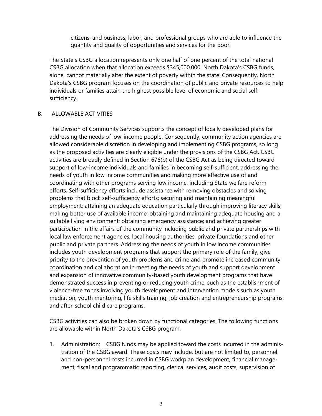citizens, and business, labor, and professional groups who are able to influence the quantity and quality of opportunities and services for the poor.

The State's CSBG allocation represents only one half of one percent of the total national CSBG allocation when that allocation exceeds \$345,000,000. North Dakota's CSBG funds, alone, cannot materially alter the extent of poverty within the state. Consequently, North Dakota's CSBG program focuses on the coordination of public and private resources to help individuals or families attain the highest possible level of economic and social selfsufficiency.

#### B. ALLOWABLE ACTIVITIES

The Division of Community Services supports the concept of locally developed plans for addressing the needs of low-income people. Consequently, community action agencies are allowed considerable discretion in developing and implementing CSBG programs, so long as the proposed activities are clearly eligible under the provisions of the CSBG Act. CSBG activities are broadly defined in Section 676(b) of the CSBG Act as being directed toward support of low-income individuals and families in becoming self-sufficient, addressing the needs of youth in low income communities and making more effective use of and coordinating with other programs serving low income, including State welfare reform efforts. Self-sufficiency efforts include assistance with removing obstacles and solving problems that block self-sufficiency efforts; securing and maintaining meaningful employment; attaining an adequate education particularly through improving literacy skills; making better use of available income; obtaining and maintaining adequate housing and a suitable living environment; obtaining emergency assistance; and achieving greater participation in the affairs of the community including public and private partnerships with local law enforcement agencies, local housing authorities, private foundations and other public and private partners. Addressing the needs of youth in low income communities includes youth development programs that support the primary role of the family, give priority to the prevention of youth problems and crime and promote increased community coordination and collaboration in meeting the needs of youth and support development and expansion of innovative community-based youth development programs that have demonstrated success in preventing or reducing youth crime, such as the establishment of violence-free zones involving youth development and intervention models such as youth mediation, youth mentoring, life skills training, job creation and entrepreneurship programs, and after-school child care programs.

CSBG activities can also be broken down by functional categories. The following functions are allowable within North Dakota's CSBG program.

1. Administration: CSBG funds may be applied toward the costs incurred in the administration of the CSBG award. These costs may include, but are not limited to, personnel and non-personnel costs incurred in CSBG workplan development, financial management, fiscal and programmatic reporting, clerical services, audit costs, supervision of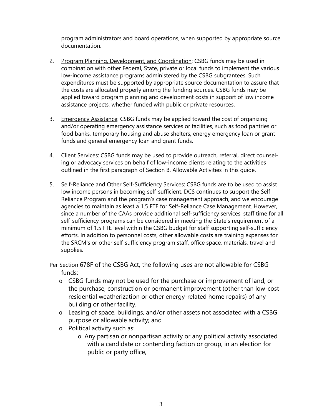program administrators and board operations, when supported by appropriate source documentation.

- 2. Program Planning, Development, and Coordination: CSBG funds may be used in combination with other Federal, State, private or local funds to implement the various low-income assistance programs administered by the CSBG subgrantees. Such expenditures must be supported by appropriate source documentation to assure that the costs are allocated properly among the funding sources. CSBG funds may be applied toward program planning and development costs in support of low income assistance projects, whether funded with public or private resources.
- 3. Emergency Assistance: CSBG funds may be applied toward the cost of organizing and/or operating emergency assistance services or facilities, such as food pantries or food banks, temporary housing and abuse shelters, energy emergency loan or grant funds and general emergency loan and grant funds.
- 4. Client Services: CSBG funds may be used to provide outreach, referral, direct counseling or advocacy services on behalf of low-income clients relating to the activities outlined in the first paragraph of Section B. Allowable Activities in this guide.
- 5. Self-Reliance and Other Self-Sufficiency Services: CSBG funds are to be used to assist low income persons in becoming self-sufficient. DCS continues to support the Self Reliance Program and the program's case management approach, and we encourage agencies to maintain as least a 1.5 FTE for Self-Reliance Case Management. However, since a number of the CAAs provide additional self-sufficiency services, staff time for all self-sufficiency programs can be considered in meeting the State's requirement of a minimum of 1.5 FTE level within the CSBG budget for staff supporting self-sufficiency efforts. In addition to personnel costs, other allowable costs are training expenses for the SRCM's or other self-sufficiency program staff, office space, materials, travel and supplies.

Per Section 678F of the CSBG Act, the following uses are not allowable for CSBG funds:

- o CSBG funds may not be used for the purchase or improvement of land, or the purchase, construction or permanent improvement (other than low-cost residential weatherization or other energy-related home repairs) of any building or other facility.
- o Leasing of space, buildings, and/or other assets not associated with a CSBG purpose or allowable activity; and
- o Political activity such as:
	- o Any partisan or nonpartisan activity or any political activity associated with a candidate or contending faction or group, in an election for public or party office,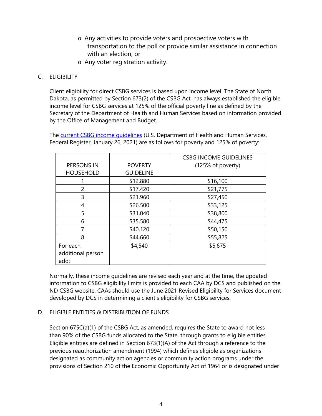- o Any activities to provide voters and prospective voters with transportation to the poll or provide similar assistance in connection with an election, or
- o Any voter registration activity.

#### C. ELIGIBILITY

Client eligibility for direct CSBG services is based upon income level. The State of North Dakota, as permitted by Section 673(2) of the CSBG Act, has always established the eligible income level for CSBG services at 125% of the official poverty line as defined by the Secretary of the Department of Health and Human Services based on information provided by the Office of Management and Budget.

The current CSBG income quidelines (U.S. Department of Health and Human Services, Federal Register, January 26, 2021) are as follows for poverty and 125% of poverty:

|                   |                  | <b>CSBG INCOME GUIDELINES</b> |
|-------------------|------------------|-------------------------------|
| PERSONS IN        | <b>POVERTY</b>   | (125% of poverty)             |
| <b>HOUSEHOLD</b>  | <b>GUIDELINE</b> |                               |
|                   | \$12,880         | \$16,100                      |
| 2                 | \$17,420         | \$21,775                      |
| 3                 | \$21,960         | \$27,450                      |
| 4                 | \$26,500         | \$33,125                      |
| 5                 | \$31,040         | \$38,800                      |
| 6                 | \$35,580         | \$44,475                      |
| 7                 | \$40,120         | \$50,150                      |
| 8                 | \$44,660         | \$55,825                      |
| For each          | \$4,540          | \$5,675                       |
| additional person |                  |                               |
| add:              |                  |                               |

Normally, these income guidelines are revised each year and at the time, the updated information to CSBG eligibility limits is provided to each CAA by DCS and published on the ND CSBG website. CAAs should use the June 2021 Revised Eligibility for Services document developed by DCS in determining a client's eligibility for CSBG services.

#### D. ELIGIBLE ENTITIES & DISTRIBUTION OF FUNDS

Section 675C(a)(1) of the CSBG Act, as amended, requires the State to award not less than 90% of the CSBG funds allocated to the State, through grants to eligible entities. Eligible entities are defined in Section 673(1)(A) of the Act through a reference to the previous reauthorization amendment (1994) which defines eligible as organizations designated as community action agencies or community action programs under the provisions of Section 210 of the Economic Opportunity Act of 1964 or is designated under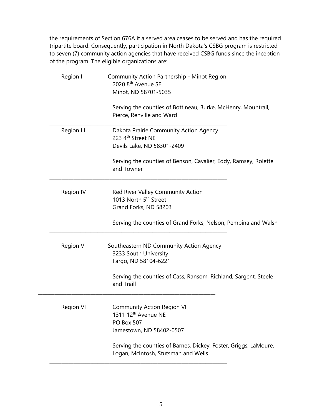the requirements of Section 676A if a served area ceases to be served and has the required tripartite board. Consequently, participation in North Dakota's CSBG program is restricted to seven (7) community action agencies that have received CSBG funds since the inception of the program. The eligible organizations are:

| Region II  | Community Action Partnership - Minot Region<br>2020 8 <sup>th</sup> Avenue SE<br>Minot, ND 58701-5035                 |
|------------|-----------------------------------------------------------------------------------------------------------------------|
|            | Serving the counties of Bottineau, Burke, McHenry, Mountrail,<br>Pierce, Renville and Ward                            |
| Region III | Dakota Prairie Community Action Agency<br>223 4 <sup>th</sup> Street NE<br>Devils Lake, ND 58301-2409                 |
|            | Serving the counties of Benson, Cavalier, Eddy, Ramsey, Rolette<br>and Towner                                         |
| Region IV  | Red River Valley Community Action<br>1013 North 5 <sup>th</sup> Street<br>Grand Forks, ND 58203                       |
|            | Serving the counties of Grand Forks, Nelson, Pembina and Walsh                                                        |
| Region V   | Southeastern ND Community Action Agency<br>3233 South University<br>Fargo, ND 58104-6221                              |
|            | Serving the counties of Cass, Ransom, Richland, Sargent, Steele<br>and Traill                                         |
| Region VI  | <b>Community Action Region VI</b><br>1311 12 <sup>th</sup> Avenue NE<br><b>PO Box 507</b><br>Jamestown, ND 58402-0507 |
|            | Serving the counties of Barnes, Dickey, Foster, Griggs, LaMoure,<br>Logan, McIntosh, Stutsman and Wells               |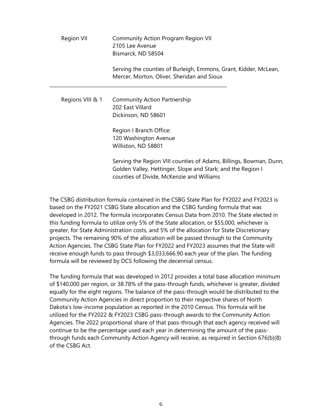| Region VII |                  | <b>Community Action Program Region VII</b><br>2105 Lee Avenue<br>Bismarck, ND 58504                                                                                            |  |
|------------|------------------|--------------------------------------------------------------------------------------------------------------------------------------------------------------------------------|--|
|            |                  | Serving the counties of Burleigh, Emmons, Grant, Kidder, McLean,<br>Mercer, Morton, Oliver, Sheridan and Sioux                                                                 |  |
|            | Regions VIII & 1 | <b>Community Action Partnership</b><br>202 East Villard<br>Dickinson, ND 58601                                                                                                 |  |
|            |                  | Region I Branch Office:<br>120 Washington Avenue<br>Williston, ND 58801                                                                                                        |  |
|            |                  | Serving the Region VIII counties of Adams, Billings, Bowman, Dunn,<br>Golden Valley, Hettinger, Slope and Stark; and the Region I<br>counties of Divide, McKenzie and Williams |  |

The CSBG distribution formula contained in the CSBG State Plan for FY2022 and FY2023 is based on the FY2021 CSBG State allocation and the CSBG funding formula that was developed in 2012. The formula incorporates Census Data from 2010. The State elected in this funding formula to utilize only 5% of the State allocation, or \$55,000, whichever is greater, for State Administration costs, and 5% of the allocation for State Discretionary projects. The remaining 90% of the allocation will be passed through to the Community Action Agencies. The CSBG State Plan for FY2022 and FY2023 assumes that the State will receive enough funds to pass through \$3,033,666.90 each year of the plan. The funding formula will be reviewed by DCS following the decennial census.

The funding formula that was developed in 2012 provides a total base allocation minimum of \$140,000 per region, or 38.78% of the pass-through funds, whichever is greater, divided equally for the eight regions. The balance of the pass-through would be distributed to the Community Action Agencies in direct proportion to their respective shares of North Dakota's low-income population as reported in the 2010 Census. This formula will be utilized for the FY2022 & FY2023 CSBG pass-through awards to the Community Action Agencies. The 2022 proportional share of that pass-through that each agency received will continue to be the percentage used each year in determining the amount of the passthrough funds each Community Action Agency will receive, as required in Section 676(b)(8) of the CSBG Act.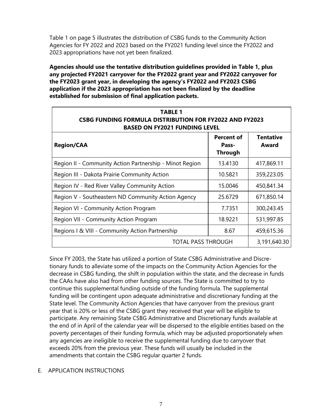Table 1 on page 5 illustrates the distribution of CSBG funds to the Community Action Agencies for FY 2022 and 2023 based on the FY2021 funding level since the FY2022 and 2023 appropriations have not yet been finalized.

**Agencies should use the tentative distribution guidelines provided in Table 1, plus any projected FY2021 carryover for the FY2022 grant year and FY2022 carryover for the FY2023 grant year, in developing the agency's FY2022 and FY2023 CSBG application if the 2023 appropriation has not been finalized by the deadline established for submission of final application packets.** 

| <b>TABLE 1</b><br><b>CSBG FUNDING FORMULA DISTRIBUTION FOR FY2022 AND FY2023</b><br><b>BASED ON FY2021 FUNDING LEVEL</b> |                                              |                           |  |
|--------------------------------------------------------------------------------------------------------------------------|----------------------------------------------|---------------------------|--|
| <b>Region/CAA</b>                                                                                                        | <b>Percent of</b><br>Pass-<br><b>Through</b> | <b>Tentative</b><br>Award |  |
| Region II - Community Action Partnership - Minot Region                                                                  | 13.4130                                      | 417,869.11                |  |
| Region III - Dakota Prairie Community Action                                                                             | 10.5821                                      | 359,223.05                |  |
| Region IV - Red River Valley Community Action                                                                            | 15.0046                                      | 450,841.34                |  |
| Region V - Southeastern ND Community Action Agency                                                                       | 25.6729                                      | 671,850.14                |  |
| Region VI - Community Action Program                                                                                     | 7.7351                                       | 300,243.45                |  |
| Region VII - Community Action Program                                                                                    | 18.9221                                      | 531,997.85                |  |
| Regions I & VIII - Community Action Partnership                                                                          | 8.67                                         | 459,615.36                |  |
| <b>TOTAL PASS THROUGH</b><br>3,191,640.30                                                                                |                                              |                           |  |

Since FY 2003, the State has utilized a portion of State CSBG Administrative and Discretionary funds to alleviate some of the impacts on the Community Action Agencies for the decrease in CSBG funding, the shift in population within the state, and the decrease in funds the CAAs have also had from other funding sources. The State is committed to try to continue this supplemental funding outside of the funding formula. The supplemental funding will be contingent upon adequate administrative and discretionary funding at the State level. The Community Action Agencies that have carryover from the previous grant year that is 20% or less of the CSBG grant they received that year will be eligible to participate. Any remaining State CSBG Administrative and Discretionary funds available at the end of in April of the calendar year will be dispersed to the eligible entities based on the poverty percentages of their funding formula, which may be adjusted proportionately when any agencies are ineligible to receive the supplemental funding due to carryover that exceeds 20% from the previous year. These funds will usually be included in the amendments that contain the CSBG regular quarter 2 funds.

#### E. APPLICATION INSTRUCTIONS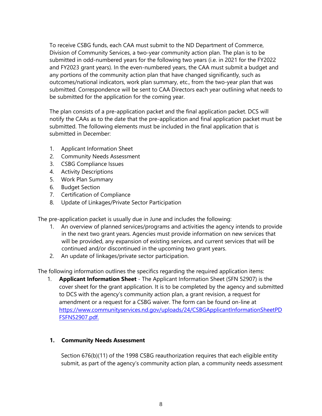To receive CSBG funds, each CAA must submit to the ND Department of Commerce, Division of Community Services, a two-year community action plan. The plan is to be submitted in odd-numbered years for the following two years (i.e. in 2021 for the FY2022 and FY2023 grant years). In the even-numbered years, the CAA must submit a budget and any portions of the community action plan that have changed significantly, such as outcomes/national indicators, work plan summary, etc., from the two-year plan that was submitted. Correspondence will be sent to CAA Directors each year outlining what needs to be submitted for the application for the coming year.

The plan consists of a pre-application packet and the final application packet. DCS will notify the CAAs as to the date that the pre-application and final application packet must be submitted. The following elements must be included in the final application that is submitted in December:

- 1. Applicant Information Sheet
- 2. Community Needs Assessment
- 3. CSBG Compliance Issues
- 4. Activity Descriptions
- 5. Work Plan Summary
- 6. Budget Section
- 7. Certification of Compliance
- 8. Update of Linkages/Private Sector Participation

The pre-application packet is usually due in June and includes the following:

- 1. An overview of planned services/programs and activities the agency intends to provide in the next two grant years. Agencies must provide information on new services that will be provided, any expansion of existing services, and current services that will be continued and/or discontinued in the upcoming two grant years.
- 2. An update of linkages/private sector participation.

The following information outlines the specifics regarding the required application items:

1. **Applicant Information Sheet** - The Applicant Information Sheet (SFN 52907) is the cover sheet for the grant application. It is to be completed by the agency and submitted to DCS with the agency's community action plan, a grant revision, a request for amendment or a request for a CSBG waiver. The form can be found on-line at [https://www.communityservices.nd.gov/uploads/24/CSBGApplicantInformationSheetPD](https://www.communityservices.nd.gov/uploads/24/CSBGApplicantInformationSheetPDFSFN52907.pdf) [FSFN52907.pdf.](https://www.communityservices.nd.gov/uploads/24/CSBGApplicantInformationSheetPDFSFN52907.pdf)

#### **1. Community Needs Assessment**

Section 676(b)(11) of the 1998 CSBG reauthorization requires that each eligible entity submit, as part of the agency's community action plan, a community needs assessment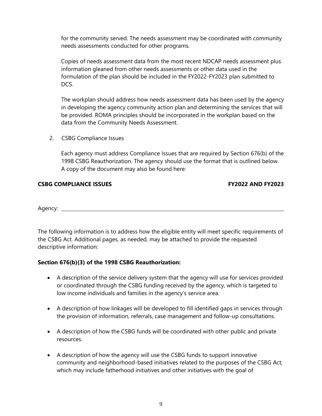for the community served. The needs assessment may be coordinated with community needs assessments conducted for other programs.

Copies of needs assessment data from the most recent NDCAP needs assessment plus information gleaned from other needs assessments or other data used in the formulation of the plan should be included in the FY2022-FY2023 plan submitted to DCS.

The workplan should address how needs assessment data has been used by the agency in developing the agency community action plan and determining the services that will be provided. ROMA principles should be incorporated in the workplan based on the data from the Community Needs Assessment.

2. CSBG Compliance Issues

Each agency must address Compliance Issues that are required by Section 676(b) of the 1998 CSBG Reauthorization. The agency should use the format that is outlined below. A copy of the document may also be found here:

#### **CSBG COMPLIANCE ISSUES FY2022 AND FY2023**

Agency:

The following information is to address how the eligible entity will meet specific requirements of the CSBG Act. Additional pages, as needed, may be attached to provide the requested descriptive information:

#### **Section 676(b)(3) of the 1998 CSBG Reauthorization:**

- A description of the service delivery system that the agency will use for services provided or coordinated through the CSBG funding received by the agency, which is targeted to low income individuals and families in the agency's service area.
- A description of how linkages will be developed to fill identified gaps in services through the provision of information, referrals, case management and follow-up consultations.
- A description of how the CSBG funds will be coordinated with other public and private resources.
- A description of how the agency will use the CSBG funds to support innovative community and neighborhood-based initiatives related to the purposes of the CSBG Act, which may include fatherhood initiatives and other initiatives with the goal of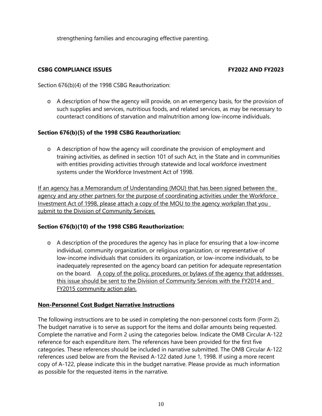strengthening families and encouraging effective parenting.

#### **CSBG COMPLIANCE ISSUES FY2022 AND FY2023**

Section 676(b)(4) of the 1998 CSBG Reauthorization:

o A description of how the agency will provide, on an emergency basis, for the provision of such supplies and services, nutritious foods, and related services, as may be necessary to counteract conditions of starvation and malnutrition among low-income individuals.

#### **Section 676(b)(5) of the 1998 CSBG Reauthorization:**

o A description of how the agency will coordinate the provision of employment and training activities, as defined in section 101 of such Act, in the State and in communities with entities providing activities through statewide and local workforce investment systems under the Workforce Investment Act of 1998.

If an agency has a Memorandum of Understanding (MOU) that has been signed between the agency and any other partners for the purpose of coordinating activities under the Workforce Investment Act of 1998, please attach a copy of the MOU to the agency workplan that you submit to the Division of Community Services.

#### **Section 676(b)(10) of the 1998 CSBG Reauthorization:**

o A description of the procedures the agency has in place for ensuring that a low-income individual, community organization, or religious organization, or representative of low-income individuals that considers its organization, or low-income individuals, to be inadequately represented on the agency board can petition for adequate representation on the board. A copy of the policy, procedures, or bylaws of the agency that addresses this issue should be sent to the Division of Community Services with the FY2014 and FY2015 community action plan.

#### **Non-Personnel Cost Budget Narrative Instructions**

The following instructions are to be used in completing the non-personnel costs form (Form 2). The budget narrative is to serve as support for the items and dollar amounts being requested. Complete the narrative and Form 2 using the categories below. Indicate the OMB Circular A-122 reference for each expenditure item. The references have been provided for the first five categories. These references should be included in narrative submitted. The OMB Circular A-122 references used below are from the Revised A-122 dated June 1, 1998. If using a more recent copy of A-122, please indicate this in the budget narrative. Please provide as much information as possible for the requested items in the narrative.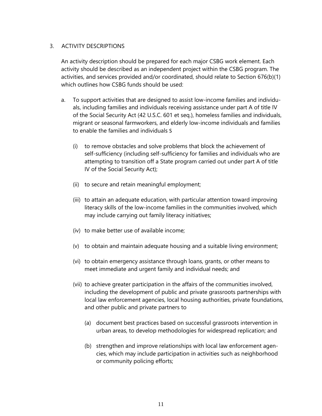#### 3. ACTIVITY DESCRIPTIONS

An activity description should be prepared for each major CSBG work element. Each activity should be described as an independent project within the CSBG program. The activities, and services provided and/or coordinated, should relate to Section 676(b)(1) which outlines how CSBG funds should be used:

- a. To support activities that are designed to assist low-income families and individuals, including families and individuals receiving assistance under part A of title IV of the Social Security Act (42 U.S.C. 601 et seq.), homeless families and individuals, migrant or seasonal farmworkers, and elderly low-income individuals and families to enable the families and individuals S
	- (i) to remove obstacles and solve problems that block the achievement of self-sufficiency (including self-sufficiency for families and individuals who are attempting to transition off a State program carried out under part A of title IV of the Social Security Act);
	- (ii) to secure and retain meaningful employment;
	- (iii) to attain an adequate education, with particular attention toward improving literacy skills of the low-income families in the communities involved, which may include carrying out family literacy initiatives;
	- (iv) to make better use of available income;
	- (v) to obtain and maintain adequate housing and a suitable living environment;
	- (vi) to obtain emergency assistance through loans, grants, or other means to meet immediate and urgent family and individual needs; and
	- (vii) to achieve greater participation in the affairs of the communities involved, including the development of public and private grassroots partnerships with local law enforcement agencies, local housing authorities, private foundations, and other public and private partners to
		- (a) document best practices based on successful grassroots intervention in urban areas, to develop methodologies for widespread replication; and
		- (b) strengthen and improve relationships with local law enforcement agencies, which may include participation in activities such as neighborhood or community policing efforts;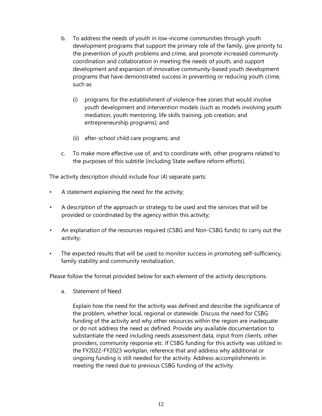- b. To address the needs of youth in low-income communities through youth development programs that support the primary role of the family, give priority to the prevention of youth problems and crime, and promote increased community coordination and collaboration in meeting the needs of youth, and support development and expansion of innovative community-based youth development programs that have demonstrated success in preventing or reducing youth crime, such as
	- (i) programs for the establishment of violence-free zones that would involve youth development and intervention models (such as models involving youth mediation, youth mentoring, life skills training, job creation, and entrepreneurship programs); and
	- (ii) after-school child care programs; and
- c. To make more effective use of, and to coordinate with, other programs related to the purposes of this subtitle (including State welfare reform efforts).

The activity description should include four (4) separate parts:

- A statement explaining the need for the activity;
- A description of the approach or strategy to be used and the services that will be provided or coordinated by the agency within this activity;
- An explanation of the resources required (CSBG and Non-CSBG funds) to carry out the activity;
- The expected results that will be used to monitor success in promoting self-sufficiency, family stability and community revitalization.

Please follow the format provided below for each element of the activity descriptions.

a. Statement of Need

Explain how the need for the activity was defined and describe the significance of the problem, whether local, regional or statewide. Discuss the need for CSBG funding of the activity and why other resources within the region are inadequate or do not address the need as defined. Provide any available documentation to substantiate the need including needs assessment data, input from clients, other providers, community response etc. If CSBG funding for this activity was utilized in the FY2022-FY2023 workplan, reference that and address why additional or ongoing funding is still needed for the activity. Address accomplishments in meeting the need due to previous CSBG funding of the activity.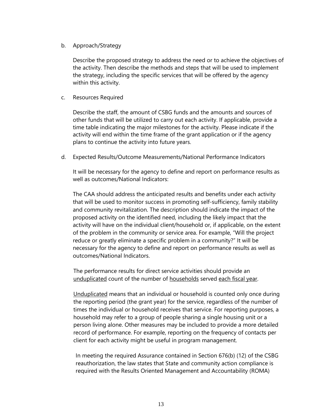#### b. Approach/Strategy

Describe the proposed strategy to address the need or to achieve the objectives of the activity. Then describe the methods and steps that will be used to implement the strategy, including the specific services that will be offered by the agency within this activity.

#### c. Resources Required

Describe the staff, the amount of CSBG funds and the amounts and sources of other funds that will be utilized to carry out each activity. If applicable, provide a time table indicating the major milestones for the activity. Please indicate if the activity will end within the time frame of the grant application or if the agency plans to continue the activity into future years.

d. Expected Results/Outcome Measurements/National Performance Indicators

It will be necessary for the agency to define and report on performance results as well as outcomes/National Indicators:

The CAA should address the anticipated results and benefits under each activity that will be used to monitor success in promoting self-sufficiency, family stability and community revitalization. The description should indicate the impact of the proposed activity on the identified need, including the likely impact that the activity will have on the individual client/household or, if applicable, on the extent of the problem in the community or service area. For example, "Will the project reduce or greatly eliminate a specific problem in a community?" It will be necessary for the agency to define and report on performance results as well as outcomes/National Indicators.

The performance results for direct service activities should provide an unduplicated count of the number of households served each fiscal year.

Unduplicated means that an individual or household is counted only once during the reporting period (the grant year) for the service, regardless of the number of times the individual or household receives that service. For reporting purposes, a household may refer to a group of people sharing a single housing unit or a person living alone. Other measures may be included to provide a more detailed record of performance. For example, reporting on the frequency of contacts per client for each activity might be useful in program management.

In meeting the required Assurance contained in Section 676(b) (12) of the CSBG reauthorization, the law states that State and community action compliance is required with the Results Oriented Management and Accountability (ROMA)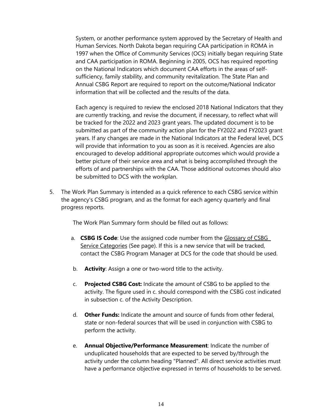System, or another performance system approved by the Secretary of Health and Human Services. North Dakota began requiring CAA participation in ROMA in 1997 when the Office of Community Services (OCS) initially began requiring State and CAA participation in ROMA. Beginning in 2005, OCS has required reporting on the National Indicators which document CAA efforts in the areas of selfsufficiency, family stability, and community revitalization. The State Plan and Annual CSBG Report are required to report on the outcome/National Indicator information that will be collected and the results of the data.

Each agency is required to review the enclosed 2018 National Indicators that they are currently tracking, and revise the document, if necessary, to reflect what will be tracked for the 2022 and 2023 grant years. The updated document is to be submitted as part of the community action plan for the FY2022 and FY2023 grant years. If any changes are made in the National Indicators at the Federal level, DCS will provide that information to you as soon as it is received. Agencies are also encouraged to develop additional appropriate outcomes which would provide a better picture of their service area and what is being accomplished through the efforts of and partnerships with the CAA. Those additional outcomes should also be submitted to DCS with the workplan.

5. The Work Plan Summary is intended as a quick reference to each CSBG service within the agency's CSBG program, and as the format for each agency quarterly and final progress reports.

The Work Plan Summary form should be filled out as follows:

- a. **CSBG IS Code**: Use the assigned code number from the Glossary of CSBG Service Categories (See page). If this is a new service that will be tracked, contact the CSBG Program Manager at DCS for the code that should be used.
- b. **Activity**: Assign a one or two-word title to the activity.
- c. **Projected CSBG Cost:** Indicate the amount of CSBG to be applied to the activity. The figure used in c. should correspond with the CSBG cost indicated in subsection c. of the Activity Description.
- d. **Other Funds:** Indicate the amount and source of funds from other federal, state or non-federal sources that will be used in conjunction with CSBG to perform the activity.
- e. **Annual Objective/Performance Measurement**: Indicate the number of unduplicated households that are expected to be served by/through the activity under the column heading "Planned". All direct service activities must have a performance objective expressed in terms of households to be served.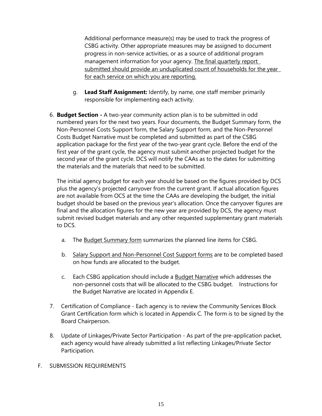Additional performance measure(s) may be used to track the progress of CSBG activity. Other appropriate measures may be assigned to document progress in non-service activities, or as a source of additional program management information for your agency. The final quarterly report submitted should provide an unduplicated count of households for the year for each service on which you are reporting.

- g. **Lead Staff Assignment:** Identify, by name, one staff member primarily responsible for implementing each activity.
- 6. **Budget Section -** A two-year community action plan is to be submitted in odd numbered years for the next two years. Four documents, the Budget Summary form, the Non-Personnel Costs Support form, the Salary Support form, and the Non-Personnel Costs Budget Narrative must be completed and submitted as part of the CSBG application package for the first year of the two-year grant cycle. Before the end of the first year of the grant cycle, the agency must submit another projected budget for the second year of the grant cycle. DCS will notify the CAAs as to the dates for submitting the materials and the materials that need to be submitted.

The initial agency budget for each year should be based on the figures provided by DCS plus the agency's projected carryover from the current grant. If actual allocation figures are not available from OCS at the time the CAAs are developing the budget, the initial budget should be based on the previous year's allocation. Once the carryover figures are final and the allocation figures for the new year are provided by DCS, the agency must submit revised budget materials and any other requested supplementary grant materials to DCS.

- a. The Budget Summary form summarizes the planned line items for CSBG.
- b. Salary Support and Non-Personnel Cost Support forms are to be completed based on how funds are allocated to the budget.
- c. Each CSBG application should include a Budget Narrative which addresses the non-personnel costs that will be allocated to the CSBG budget. Instructions for the Budget Narrative are located in Appendix E.
- 7. Certification of Compliance Each agency is to review the Community Services Block Grant Certification form which is located in Appendix C. The form is to be signed by the Board Chairperson.
- 8. Update of Linkages/Private Sector Participation As part of the pre-application packet, each agency would have already submitted a list reflecting Linkages/Private Sector Participation.
- F. SUBMISSION REQUIREMENTS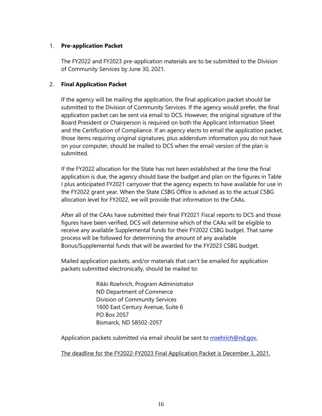#### 1. **Pre-application Packet**

The FY2022 and FY2023 pre-application materials are to be submitted to the Division of Community Services by June 30, 2021.

#### 2. **Final Application Packet**

If the agency will be mailing the application, the final application packet should be submitted to the Division of Community Services. If the agency would prefer, the final application packet can be sent via email to DCS. However, the original signature of the Board President or Chairperson is required on both the Applicant Information Sheet and the Certification of Compliance. If an agency elects to email the application packet, those items requiring original signatures, plus addendum information you do not have on your computer, should be mailed to DCS when the email version of the plan is submitted.

If the FY2022 allocation for the State has not been established at the time the final application is due, the agency should base the budget and plan on the figures in Table I plus anticipated FY2021 carryover that the agency expects to have available for use in the FY2022 grant year. When the State CSBG Office is advised as to the actual CSBG allocation level for FY2022, we will provide that information to the CAAs.

After all of the CAAs have submitted their final FY2021 Fiscal reports to DCS and those figures have been verified, DCS will determine which of the CAAs will be eligible to receive any available Supplemental funds for their FY2022 CSBG budget. That same process will be followed for determining the amount of any available Bonus/Supplemental funds that will be awarded for the FY2023 CSBG budget.

Mailed application packets, and/or materials that can't be emailed for application packets submitted electronically, should be mailed to:

> Rikki Roehrich, Program Administrator ND Department of Commerce Division of Community Services 1600 East Century Avenue, Suite 6 PO Box 2057 Bismarck, ND 58502-2057

Application packets submitted via email should be sent to rroehrich@nd.gov.

The deadline for the FY2022-FY2023 Final Application Packet is December 3, 2021.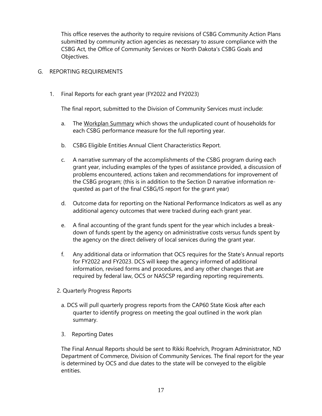This office reserves the authority to require revisions of CSBG Community Action Plans submitted by community action agencies as necessary to assure compliance with the CSBG Act, the Office of Community Services or North Dakota's CSBG Goals and Objectives.

#### G. REPORTING REQUIREMENTS

1. Final Reports for each grant year (FY2022 and FY2023)

The final report, submitted to the Division of Community Services must include:

- a. The Workplan Summary which shows the unduplicated count of households for each CSBG performance measure for the full reporting year.
- b. CSBG Eligible Entities Annual Client Characteristics Report.
- c. A narrative summary of the accomplishments of the CSBG program during each grant year, including examples of the types of assistance provided, a discussion of problems encountered, actions taken and recommendations for improvement of the CSBG program; (this is in addition to the Section D narrative information requested as part of the final CSBG/IS report for the grant year)
- d. Outcome data for reporting on the National Performance Indicators as well as any additional agency outcomes that were tracked during each grant year.
- e. A final accounting of the grant funds spent for the year which includes a breakdown of funds spent by the agency on administrative costs versus funds spent by the agency on the direct delivery of local services during the grant year.
- f. Any additional data or information that OCS requires for the State's Annual reports for FY2022 and FY2023. DCS will keep the agency informed of additional information, revised forms and procedures, and any other changes that are required by federal law, OCS or NASCSP regarding reporting requirements.
- 2. Quarterly Progress Reports
	- a. DCS will pull quarterly progress reports from the CAP60 State Kiosk after each quarter to identify progress on meeting the goal outlined in the work plan summary.
	- 3. Reporting Dates

The Final Annual Reports should be sent to Rikki Roehrich, Program Administrator, ND Department of Commerce, Division of Community Services. The final report for the year is determined by OCS and due dates to the state will be conveyed to the eligible entities.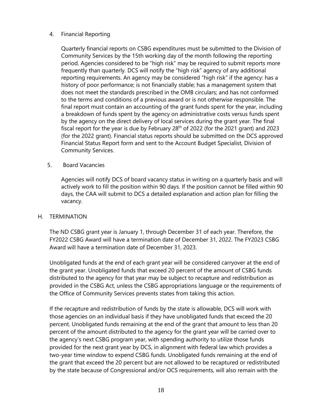#### 4. Financial Reporting

Quarterly financial reports on CSBG expenditures must be submitted to the Division of Community Services by the 15th working day of the month following the reporting period. Agencies considered to be "high risk" may be required to submit reports more frequently than quarterly. DCS will notify the "high risk" agency of any additional reporting requirements. An agency may be considered "high risk" if the agency: has a history of poor performance; is not financially stable; has a management system that does not meet the standards prescribed in the OMB circulars; and has not conformed to the terms and conditions of a previous award or is not otherwise responsible. The final report must contain an accounting of the grant funds spent for the year, including a breakdown of funds spent by the agency on administrative costs versus funds spent by the agency on the direct delivery of local services during the grant year. The final fiscal report for the year is due by February  $28<sup>th</sup>$  of 2022 (for the 2021 grant) and 2023 (for the 2022 grant). Financial status reports should be submitted on the DCS approved Financial Status Report form and sent to the Account Budget Specialist, Division of Community Services.

#### 5. Board Vacancies

Agencies will notify DCS of board vacancy status in writing on a quarterly basis and will actively work to fill the position within 90 days. If the position cannot be filled within 90 days, the CAA will submit to DCS a detailed explanation and action plan for filling the vacancy.

#### H. TERMINATION

The ND CSBG grant year is January 1, through December 31 of each year. Therefore, the FY2022 CSBG Award will have a termination date of December 31, 2022. The FY2023 CSBG Award will have a termination date of December 31, 2023.

Unobligated funds at the end of each grant year will be considered carryover at the end of the grant year. Unobligated funds that exceed 20 percent of the amount of CSBG funds distributed to the agency for that year may be subject to recapture and redistribution as provided in the CSBG Act, unless the CSBG appropriations language or the requirements of the Office of Community Services prevents states from taking this action.

If the recapture and redistribution of funds by the state is allowable, DCS will work with those agencies on an individual basis if they have unobligated funds that exceed the 20 percent. Unobligated funds remaining at the end of the grant that amount to less than 20 percent of the amount distributed to the agency for the grant year will be carried over to the agency's next CSBG program year, with spending authority to utilize those funds provided for the next grant year by DCS, in alignment with federal law which provides a two-year time window to expend CSBG funds. Unobligated funds remaining at the end of the grant that exceed the 20 percent but are not allowed to be recaptured or redistributed by the state because of Congressional and/or OCS requirements, will also remain with the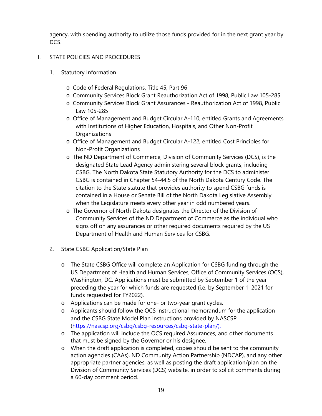agency, with spending authority to utilize those funds provided for in the next grant year by DCS.

### I. STATE POLICIES AND PROCEDURES

- 1. Statutory Information
	- o Code of Federal Regulations, Title 45, Part 96
	- o Community Services Block Grant Reauthorization Act of 1998, Public Law 105-285
	- o Community Services Block Grant Assurances Reauthorization Act of 1998, Public Law 105-285
	- o Office of Management and Budget Circular A-110, entitled Grants and Agreements with Institutions of Higher Education, Hospitals, and Other Non-Profit **Organizations**
	- o Office of Management and Budget Circular A-122, entitled Cost Principles for Non-Profit Organizations
	- o The ND Department of Commerce, Division of Community Services (DCS), is the designated State Lead Agency administering several block grants, including CSBG. The North Dakota State Statutory Authority for the DCS to administer CSBG is contained in Chapter 54-44.5 of the North Dakota Century Code. The citation to the State statute that provides authority to spend CSBG funds is contained in a House or Senate Bill of the North Dakota Legislative Assembly when the Legislature meets every other year in odd numbered years.
	- o The Governor of North Dakota designates the Director of the Division of Community Services of the ND Department of Commerce as the individual who signs off on any assurances or other required documents required by the US Department of Health and Human Services for CSBG.
- 2. State CSBG Application/State Plan
	- o The State CSBG Office will complete an Application for CSBG funding through the US Department of Health and Human Services, Office of Community Services (OCS), Washington, DC. Applications must be submitted by September 1 of the year preceding the year for which funds are requested (i.e. by September 1, 2021 for funds requested for FY2022).
	- o Applications can be made for one- or two-year grant cycles.
	- o Applicants should follow the OCS instructional memorandum for the application and the CSBG State Model Plan instructions provided by NASCSP [\(https://nascsp.org/csbg/csbg-resources/csbg-state-plan/\)](https://nascsp.org/csbg/csbg-resources/csbg-state-plan/).
	- o The application will include the OCS required Assurances, and other documents that must be signed by the Governor or his designee.
	- o When the draft application is completed, copies should be sent to the community action agencies (CAAs), ND Community Action Partnership (NDCAP), and any other appropriate partner agencies, as well as posting the draft application/plan on the Division of Community Services (DCS) website, in order to solicit comments during a 60-day comment period.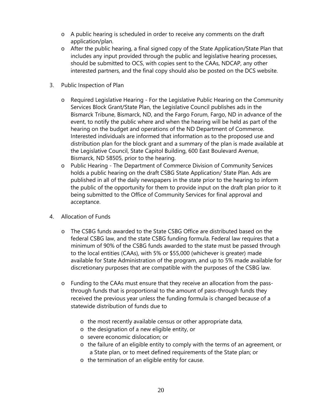- o A public hearing is scheduled in order to receive any comments on the draft application/plan.
- o After the public hearing, a final signed copy of the State Application/State Plan that includes any input provided through the public and legislative hearing processes, should be submitted to OCS, with copies sent to the CAAs, NDCAP, any other interested partners, and the final copy should also be posted on the DCS website.
- 3. Public Inspection of Plan
	- o Required Legislative Hearing For the Legislative Public Hearing on the Community Services Block Grant/State Plan, the Legislative Council publishes ads in the Bismarck Tribune, Bismarck, ND, and the Fargo Forum, Fargo, ND in advance of the event, to notify the public where and when the hearing will be held as part of the hearing on the budget and operations of the ND Department of Commerce. Interested individuals are informed that information as to the proposed use and distribution plan for the block grant and a summary of the plan is made available at the Legislative Council, State Capitol Building, 600 East Boulevard Avenue, Bismarck, ND 58505, prior to the hearing.
	- o Public Hearing The Department of Commerce Division of Community Services holds a public hearing on the draft CSBG State Application/ State Plan. Ads are published in all of the daily newspapers in the state prior to the hearing to inform the public of the opportunity for them to provide input on the draft plan prior to it being submitted to the Office of Community Services for final approval and acceptance.
- 4. Allocation of Funds
	- o The CSBG funds awarded to the State CSBG Office are distributed based on the federal CSBG law, and the state CSBG funding formula. Federal law requires that a minimum of 90% of the CSBG funds awarded to the state must be passed through to the local entities (CAAs), with 5% or \$55,000 (whichever is greater) made available for State Administration of the program, and up to 5% made available for discretionary purposes that are compatible with the purposes of the CSBG law.
	- o Funding to the CAAs must ensure that they receive an allocation from the passthrough funds that is proportional to the amount of pass-through funds they received the previous year unless the funding formula is changed because of a statewide distribution of funds due to
		- o the most recently available census or other appropriate data,
		- o the designation of a new eligible entity, or
		- o severe economic dislocation; or
		- o the failure of an eligible entity to comply with the terms of an agreement, or a State plan, or to meet defined requirements of the State plan; or
		- o the termination of an eligible entity for cause.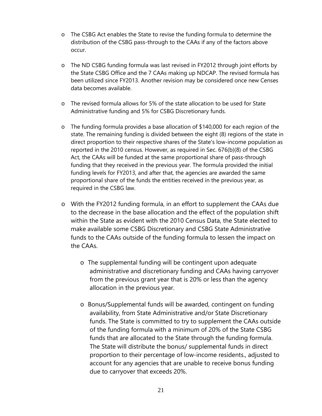- o The CSBG Act enables the State to revise the funding formula to determine the distribution of the CSBG pass-through to the CAAs if any of the factors above occur.
- o The ND CSBG funding formula was last revised in FY2012 through joint efforts by the State CSBG Office and the 7 CAAs making up NDCAP. The revised formula has been utilized since FY2013. Another revision may be considered once new Censes data becomes available.
- o The revised formula allows for 5% of the state allocation to be used for State Administrative funding and 5% for CSBG Discretionary funds.
- o The funding formula provides a base allocation of \$140,000 for each region of the state. The remaining funding is divided between the eight (8) regions of the state in direct proportion to their respective shares of the State's low-income population as reported in the 2010 census. However, as required in Sec. 676(b)(8) of the CSBG Act, the CAAs will be funded at the same proportional share of pass-through funding that they received in the previous year. The formula provided the initial funding levels for FY2013, and after that, the agencies are awarded the same proportional share of the funds the entities received in the previous year, as required in the CSBG law.
- o With the FY2012 funding formula, in an effort to supplement the CAAs due to the decrease in the base allocation and the effect of the population shift within the State as evident with the 2010 Census Data, the State elected to make available some CSBG Discretionary and CSBG State Administrative funds to the CAAs outside of the funding formula to lessen the impact on the CAAs.
	- o The supplemental funding will be contingent upon adequate administrative and discretionary funding and CAAs having carryover from the previous grant year that is 20% or less than the agency allocation in the previous year.
	- o Bonus/Supplemental funds will be awarded, contingent on funding availability, from State Administrative and/or State Discretionary funds. The State is committed to try to supplement the CAAs outside of the funding formula with a minimum of 20% of the State CSBG funds that are allocated to the State through the funding formula. The State will distribute the bonus/ supplemental funds in direct proportion to their percentage of low-income residents., adjusted to account for any agencies that are unable to receive bonus funding due to carryover that exceeds 20%.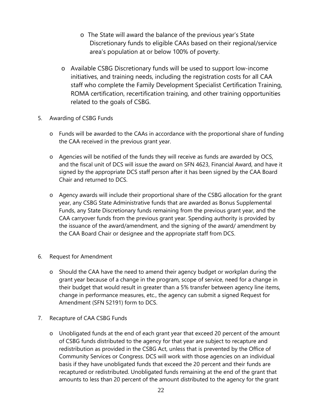- o The State will award the balance of the previous year's State Discretionary funds to eligible CAAs based on their regional/service area's population at or below 100% of poverty.
- o Available CSBG Discretionary funds will be used to support low-income initiatives, and training needs, including the registration costs for all CAA staff who complete the Family Development Specialist Certification Training, ROMA certification, recertification training, and other training opportunities related to the goals of CSBG.
- 5. Awarding of CSBG Funds
	- o Funds will be awarded to the CAAs in accordance with the proportional share of funding the CAA received in the previous grant year.
	- o Agencies will be notified of the funds they will receive as funds are awarded by OCS, and the fiscal unit of DCS will issue the award on SFN 4623, Financial Award, and have it signed by the appropriate DCS staff person after it has been signed by the CAA Board Chair and returned to DCS.
	- o Agency awards will include their proportional share of the CSBG allocation for the grant year, any CSBG State Administrative funds that are awarded as Bonus Supplemental Funds, any State Discretionary funds remaining from the previous grant year, and the CAA carryover funds from the previous grant year. Spending authority is provided by the issuance of the award/amendment, and the signing of the award/ amendment by the CAA Board Chair or designee and the appropriate staff from DCS.
- 6. Request for Amendment
	- o Should the CAA have the need to amend their agency budget or workplan during the grant year because of a change in the program, scope of service, need for a change in their budget that would result in greater than a 5% transfer between agency line items, change in performance measures, etc., the agency can submit a signed Request for Amendment (SFN 52191) form to DCS.
- 7. Recapture of CAA CSBG Funds
	- o Unobligated funds at the end of each grant year that exceed 20 percent of the amount of CSBG funds distributed to the agency for that year are subject to recapture and redistribution as provided in the CSBG Act, unless that is prevented by the Office of Community Services or Congress. DCS will work with those agencies on an individual basis if they have unobligated funds that exceed the 20 percent and their funds are recaptured or redistributed. Unobligated funds remaining at the end of the grant that amounts to less than 20 percent of the amount distributed to the agency for the grant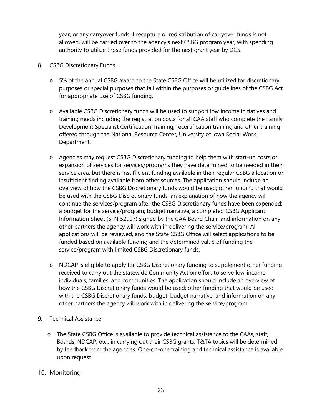year, or any carryover funds if recapture or redistribution of carryover funds is not allowed, will be carried over to the agency's next CSBG program year, with spending authority to utilize those funds provided for the next grant year by DCS.

- 8. CSBG Discretionary Funds
	- o 5% of the annual CSBG award to the State CSBG Office will be utilized for discretionary purposes or special purposes that fall within the purposes or guidelines of the CSBG Act for appropriate use of CSBG funding.
	- o Available CSBG Discretionary funds will be used to support low income initiatives and training needs including the registration costs for all CAA staff who complete the Family Development Specialist Certification Training, recertification training and other training offered through the National Resource Center, University of Iowa Social Work Department.
	- o Agencies may request CSBG Discretionary funding to help them with start-up costs or expansion of services for services/programs they have determined to be needed in their service area, but there is insufficient funding available in their regular CSBG allocation or insufficient finding available from other sources. The application should include an overview of how the CSBG Discretionary funds would be used; other funding that would be used with the CSBG Discretionary funds; an explanation of how the agency will continue the services/program after the CSBG Discretionary funds have been expended; a budget for the service/program; budget narrative; a completed CSBG Applicant Information Sheet (SFN 52907) signed by the CAA Board Chair, and information on any other partners the agency will work with in delivering the service/program. All applications will be reviewed, and the State CSBG Office will select applications to be funded based on available funding and the determined value of funding the service/program with limited CSBG Discretionary funds.
	- o NDCAP is eligible to apply for CSBG Discretionary funding to supplement other funding received to carry out the statewide Community Action effort to serve low-income individuals, families, and communities. The application should include an overview of how the CSBG Discretionary funds would be used; other funding that would be used with the CSBG Discretionary funds; budget; budget narrative; and information on any other partners the agency will work with in delivering the service/program.
- 9. Technical Assistance
	- o The State CSBG Office is available to provide technical assistance to the CAAs, staff, Boards, NDCAP, etc., in carrying out their CSBG grants. T&TA topics will be determined by feedback from the agencies. One-on-one training and technical assistance is available upon request.
- 10. Monitoring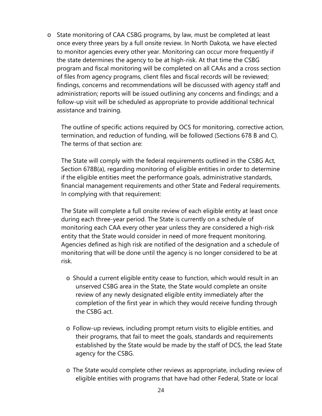o State monitoring of CAA CSBG programs, by law, must be completed at least once every three years by a full onsite review. In North Dakota, we have elected to monitor agencies every other year. Monitoring can occur more frequently if the state determines the agency to be at high-risk. At that time the CSBG program and fiscal monitoring will be completed on all CAAs and a cross section of files from agency programs, client files and fiscal records will be reviewed; findings, concerns and recommendations will be discussed with agency staff and administration; reports will be issued outlining any concerns and findings; and a follow-up visit will be scheduled as appropriate to provide additional technical assistance and training.

The outline of specific actions required by OCS for monitoring, corrective action, termination, and reduction of funding, will be followed (Sections 678 B and C). The terms of that section are:

The State will comply with the federal requirements outlined in the CSBG Act, Section 678B(a), regarding monitoring of eligible entities in order to determine if the eligible entities meet the performance goals, administrative standards, financial management requirements and other State and Federal requirements. In complying with that requirement:

The State will complete a full onsite review of each eligible entity at least once during each three-year period. The State is currently on a schedule of monitoring each CAA every other year unless they are considered a high-risk entity that the State would consider in need of more frequent monitoring. Agencies defined as high risk are notified of the designation and a schedule of monitoring that will be done until the agency is no longer considered to be at risk.

- o Should a current eligible entity cease to function, which would result in an unserved CSBG area in the State, the State would complete an onsite review of any newly designated eligible entity immediately after the completion of the first year in which they would receive funding through the CSBG act.
- o Follow-up reviews, including prompt return visits to eligible entities, and their programs, that fail to meet the goals, standards and requirements established by the State would be made by the staff of DCS, the lead State agency for the CSBG.
- o The State would complete other reviews as appropriate, including review of eligible entities with programs that have had other Federal, State or local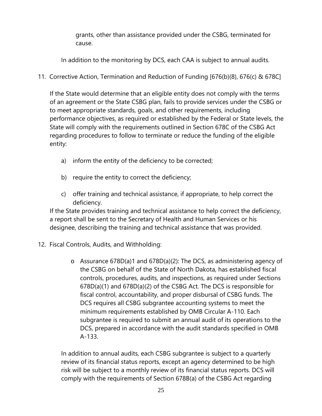grants, other than assistance provided under the CSBG, terminated for cause.

In addition to the monitoring by DCS, each CAA is subject to annual audits.

11. Corrective Action, Termination and Reduction of Funding [676(b)(8), 676(c) & 678C]

If the State would determine that an eligible entity does not comply with the terms of an agreement or the State CSBG plan, fails to provide services under the CSBG or to meet appropriate standards, goals, and other requirements, including performance objectives, as required or established by the Federal or State levels, the State will comply with the requirements outlined in Section 678C of the CSBG Act regarding procedures to follow to terminate or reduce the funding of the eligible entity:

- a) inform the entity of the deficiency to be corrected;
- b) require the entity to correct the deficiency;
- c) offer training and technical assistance, if appropriate, to help correct the deficiency.

If the State provides training and technical assistance to help correct the deficiency, a report shall be sent to the Secretary of Health and Human Services or his designee, describing the training and technical assistance that was provided.

- 12. Fiscal Controls, Audits, and Withholding:
	- o Assurance 678D(a)1 and 678D(a)(2): The DCS, as administering agency of the CSBG on behalf of the State of North Dakota, has established fiscal controls, procedures, audits, and inspections, as required under Sections 678D(a)(1) and 678D(a)(2) of the CSBG Act. The DCS is responsible for fiscal control, accountability, and proper disbursal of CSBG funds. The DCS requires all CSBG subgrantee accounting systems to meet the minimum requirements established by OMB Circular A-110. Each subgrantee is required to submit an annual audit of its operations to the DCS, prepared in accordance with the audit standards specified in OMB A-133.

In addition to annual audits, each CSBG subgrantee is subject to a quarterly review of its financial status reports, except an agency determined to be high risk will be subject to a monthly review of its financial status reports. DCS will comply with the requirements of Section 678B(a) of the CSBG Act regarding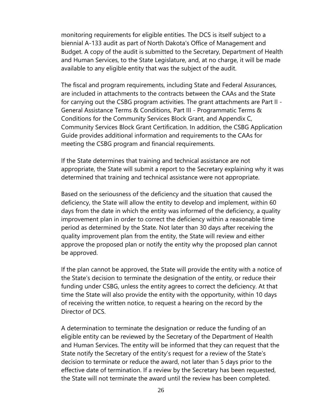monitoring requirements for eligible entities. The DCS is itself subject to a biennial A-133 audit as part of North Dakota's Office of Management and Budget. A copy of the audit is submitted to the Secretary, Department of Health and Human Services, to the State Legislature, and, at no charge, it will be made available to any eligible entity that was the subject of the audit.

The fiscal and program requirements, including State and Federal Assurances, are included in attachments to the contracts between the CAAs and the State for carrying out the CSBG program activities. The grant attachments are Part II - General Assistance Terms & Conditions, Part III - Programmatic Terms & Conditions for the Community Services Block Grant, and Appendix C, Community Services Block Grant Certification. In addition, the CSBG Application Guide provides additional information and requirements to the CAAs for meeting the CSBG program and financial requirements.

If the State determines that training and technical assistance are not appropriate, the State will submit a report to the Secretary explaining why it was determined that training and technical assistance were not appropriate.

Based on the seriousness of the deficiency and the situation that caused the deficiency, the State will allow the entity to develop and implement, within 60 days from the date in which the entity was informed of the deficiency, a quality improvement plan in order to correct the deficiency within a reasonable time period as determined by the State. Not later than 30 days after receiving the quality improvement plan from the entity, the State will review and either approve the proposed plan or notify the entity why the proposed plan cannot be approved.

If the plan cannot be approved, the State will provide the entity with a notice of the State's decision to terminate the designation of the entity, or reduce their funding under CSBG, unless the entity agrees to correct the deficiency. At that time the State will also provide the entity with the opportunity, within 10 days of receiving the written notice, to request a hearing on the record by the Director of DCS.

A determination to terminate the designation or reduce the funding of an eligible entity can be reviewed by the Secretary of the Department of Health and Human Services. The entity will be informed that they can request that the State notify the Secretary of the entity's request for a review of the State's decision to terminate or reduce the award, not later than 5 days prior to the effective date of termination. If a review by the Secretary has been requested, the State will not terminate the award until the review has been completed.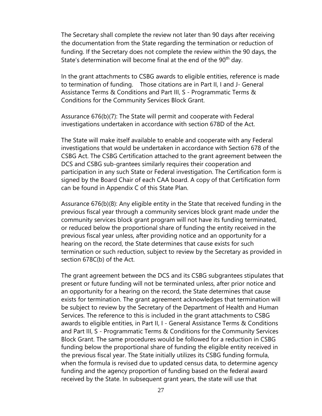The Secretary shall complete the review not later than 90 days after receiving the documentation from the State regarding the termination or reduction of funding. If the Secretary does not complete the review within the 90 days, the State's determination will become final at the end of the 90<sup>th</sup> day.

In the grant attachments to CSBG awards to eligible entities, reference is made to termination of funding. Those citations are in Part II, I and J- General Assistance Terms & Conditions and Part III, S - Programmatic Terms & Conditions for the Community Services Block Grant.

Assurance 676(b)(7): The State will permit and cooperate with Federal investigations undertaken in accordance with section 678D of the Act.

The State will make itself available to enable and cooperate with any Federal investigations that would be undertaken in accordance with Section 678 of the CSBG Act. The CSBG Certification attached to the grant agreement between the DCS and CSBG sub-grantees similarly requires their cooperation and participation in any such State or Federal investigation. The Certification form is signed by the Board Chair of each CAA board. A copy of that Certification form can be found in Appendix C of this State Plan.

Assurance 676(b)(8): Any eligible entity in the State that received funding in the previous fiscal year through a community services block grant made under the community services block grant program will not have its funding terminated, or reduced below the proportional share of funding the entity received in the previous fiscal year unless, after providing notice and an opportunity for a hearing on the record, the State determines that cause exists for such termination or such reduction, subject to review by the Secretary as provided in section 678C(b) of the Act.

The grant agreement between the DCS and its CSBG subgrantees stipulates that present or future funding will not be terminated unless, after prior notice and an opportunity for a hearing on the record, the State determines that cause exists for termination. The grant agreement acknowledges that termination will be subject to review by the Secretary of the Department of Health and Human Services. The reference to this is included in the grant attachments to CSBG awards to eligible entities, in Part II, I - General Assistance Terms & Conditions and Part III, S - Programmatic Terms & Conditions for the Community Services Block Grant. The same procedures would be followed for a reduction in CSBG funding below the proportional share of funding the eligible entity received in the previous fiscal year. The State initially utilizes its CSBG funding formula, when the formula is revised due to updated census data, to determine agency funding and the agency proportion of funding based on the federal award received by the State. In subsequent grant years, the state will use that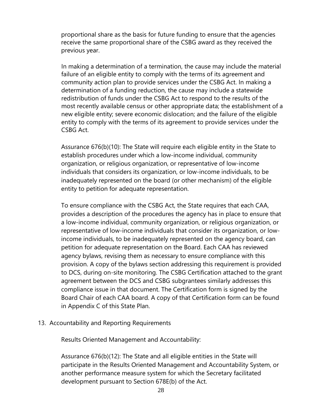proportional share as the basis for future funding to ensure that the agencies receive the same proportional share of the CSBG award as they received the previous year.

In making a determination of a termination, the cause may include the material failure of an eligible entity to comply with the terms of its agreement and community action plan to provide services under the CSBG Act. In making a determination of a funding reduction, the cause may include a statewide redistribution of funds under the CSBG Act to respond to the results of the most recently available census or other appropriate data; the establishment of a new eligible entity; severe economic dislocation; and the failure of the eligible entity to comply with the terms of its agreement to provide services under the CSBG Act.

Assurance 676(b)(10): The State will require each eligible entity in the State to establish procedures under which a low-income individual, community organization, or religious organization, or representative of low-income individuals that considers its organization, or low-income individuals, to be inadequately represented on the board (or other mechanism) of the eligible entity to petition for adequate representation.

To ensure compliance with the CSBG Act, the State requires that each CAA, provides a description of the procedures the agency has in place to ensure that a low-income individual, community organization, or religious organization, or representative of low-income individuals that consider its organization, or lowincome individuals, to be inadequately represented on the agency board, can petition for adequate representation on the Board. Each CAA has reviewed agency bylaws, revising them as necessary to ensure compliance with this provision. A copy of the bylaws section addressing this requirement is provided to DCS, during on-site monitoring. The CSBG Certification attached to the grant agreement between the DCS and CSBG subgrantees similarly addresses this compliance issue in that document. The Certification form is signed by the Board Chair of each CAA board. A copy of that Certification form can be found in Appendix C of this State Plan.

#### 13. Accountability and Reporting Requirements

Results Oriented Management and Accountability:

Assurance 676(b)(12): The State and all eligible entities in the State will participate in the Results Oriented Management and Accountability System, or another performance measure system for which the Secretary facilitated development pursuant to Section 678E(b) of the Act.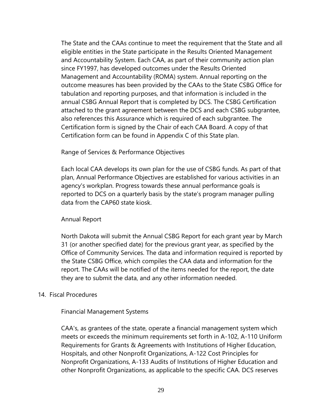The State and the CAAs continue to meet the requirement that the State and all eligible entities in the State participate in the Results Oriented Management and Accountability System. Each CAA, as part of their community action plan since FY1997, has developed outcomes under the Results Oriented Management and Accountability (ROMA) system. Annual reporting on the outcome measures has been provided by the CAAs to the State CSBG Office for tabulation and reporting purposes, and that information is included in the annual CSBG Annual Report that is completed by DCS. The CSBG Certification attached to the grant agreement between the DCS and each CSBG subgrantee, also references this Assurance which is required of each subgrantee. The Certification form is signed by the Chair of each CAA Board. A copy of that Certification form can be found in Appendix C of this State plan.

#### Range of Services & Performance Objectives

Each local CAA develops its own plan for the use of CSBG funds. As part of that plan, Annual Performance Objectives are established for various activities in an agency's workplan. Progress towards these annual performance goals is reported to DCS on a quarterly basis by the state's program manager pulling data from the CAP60 state kiosk.

#### Annual Report

North Dakota will submit the Annual CSBG Report for each grant year by March 31 (or another specified date) for the previous grant year, as specified by the Office of Community Services. The data and information required is reported by the State CSBG Office, which compiles the CAA data and information for the report. The CAAs will be notified of the items needed for the report, the date they are to submit the data, and any other information needed.

#### 14. Fiscal Procedures

#### Financial Management Systems

CAA's, as grantees of the state, operate a financial management system which meets or exceeds the minimum requirements set forth in A-102, A-110 Uniform Requirements for Grants & Agreements with Institutions of Higher Education, Hospitals, and other Nonprofit Organizations, A-122 Cost Principles for Nonprofit Organizations, A-133 Audits of Institutions of Higher Education and other Nonprofit Organizations, as applicable to the specific CAA. DCS reserves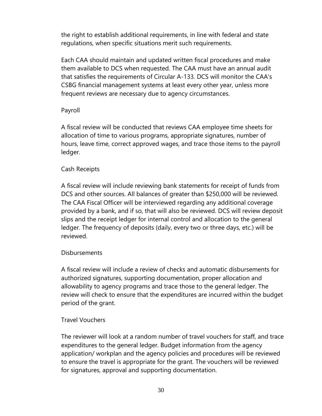the right to establish additional requirements, in line with federal and state regulations, when specific situations merit such requirements.

Each CAA should maintain and updated written fiscal procedures and make them available to DCS when requested. The CAA must have an annual audit that satisfies the requirements of Circular A-133. DCS will monitor the CAA's CSBG financial management systems at least every other year, unless more frequent reviews are necessary due to agency circumstances.

# Payroll

A fiscal review will be conducted that reviews CAA employee time sheets for allocation of time to various programs, appropriate signatures, number of hours, leave time, correct approved wages, and trace those items to the payroll ledger.

# Cash Receipts

A fiscal review will include reviewing bank statements for receipt of funds from DCS and other sources. All balances of greater than \$250,000 will be reviewed. The CAA Fiscal Officer will be interviewed regarding any additional coverage provided by a bank, and if so, that will also be reviewed. DCS will review deposit slips and the receipt ledger for internal control and allocation to the general ledger. The frequency of deposits (daily, every two or three days, etc.) will be reviewed.

# Disbursements

A fiscal review will include a review of checks and automatic disbursements for authorized signatures, supporting documentation, proper allocation and allowability to agency programs and trace those to the general ledger. The review will check to ensure that the expenditures are incurred within the budget period of the grant.

# Travel Vouchers

The reviewer will look at a random number of travel vouchers for staff, and trace expenditures to the general ledger. Budget information from the agency application/ workplan and the agency policies and procedures will be reviewed to ensure the travel is appropriate for the grant. The vouchers will be reviewed for signatures, approval and supporting documentation.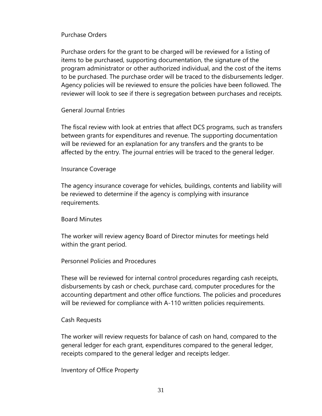#### Purchase Orders

Purchase orders for the grant to be charged will be reviewed for a listing of items to be purchased, supporting documentation, the signature of the program administrator or other authorized individual, and the cost of the items to be purchased. The purchase order will be traced to the disbursements ledger. Agency policies will be reviewed to ensure the policies have been followed. The reviewer will look to see if there is segregation between purchases and receipts.

## General Journal Entries

The fiscal review with look at entries that affect DCS programs, such as transfers between grants for expenditures and revenue. The supporting documentation will be reviewed for an explanation for any transfers and the grants to be affected by the entry. The journal entries will be traced to the general ledger.

#### Insurance Coverage

The agency insurance coverage for vehicles, buildings, contents and liability will be reviewed to determine if the agency is complying with insurance requirements.

#### Board Minutes

The worker will review agency Board of Director minutes for meetings held within the grant period.

#### Personnel Policies and Procedures

These will be reviewed for internal control procedures regarding cash receipts, disbursements by cash or check, purchase card, computer procedures for the accounting department and other office functions. The policies and procedures will be reviewed for compliance with A-110 written policies requirements.

#### Cash Requests

The worker will review requests for balance of cash on hand, compared to the general ledger for each grant, expenditures compared to the general ledger, receipts compared to the general ledger and receipts ledger.

Inventory of Office Property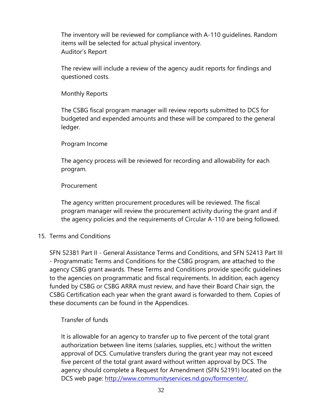The inventory will be reviewed for compliance with A-110 guidelines. Random items will be selected for actual physical inventory. Auditor's Report

The review will include a review of the agency audit reports for findings and questioned costs.

Monthly Reports

The CSBG fiscal program manager will review reports submitted to DCS for budgeted and expended amounts and these will be compared to the general ledger.

## Program Income

The agency process will be reviewed for recording and allowability for each program.

#### **Procurement**

The agency written procurement procedures will be reviewed. The fiscal program manager will review the procurement activity during the grant and if the agency policies and the requirements of Circular A-110 are being followed.

#### 15. Terms and Conditions

SFN 52381 Part II - General Assistance Terms and Conditions, and SFN 52413 Part III - Programmatic Terms and Conditions for the CSBG program, are attached to the agency CSBG grant awards. These Terms and Conditions provide specific guidelines to the agencies on programmatic and fiscal requirements. In addition, each agency funded by CSBG or CSBG ARRA must review, and have their Board Chair sign, the CSBG Certification each year when the grant award is forwarded to them. Copies of these documents can be found in the Appendices.

# Transfer of funds

It is allowable for an agency to transfer up to five percent of the total grant authorization between line items (salaries, supplies, etc.) without the written approval of DCS. Cumulative transfers during the grant year may not exceed five percent of the total grant award without written approval by DCS. The agency should complete a Request for Amendment (SFN 52191) located on the DCS web page: http://www.communityservices.nd.gov/formcenter/.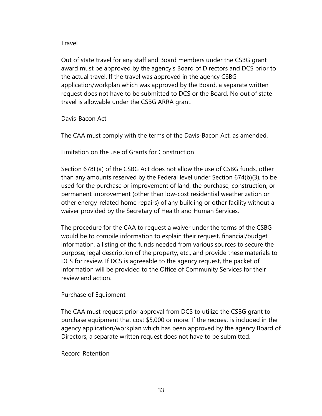## Travel

Out of state travel for any staff and Board members under the CSBG grant award must be approved by the agency's Board of Directors and DCS prior to the actual travel. If the travel was approved in the agency CSBG application/workplan which was approved by the Board, a separate written request does not have to be submitted to DCS or the Board. No out of state travel is allowable under the CSBG ARRA grant.

Davis-Bacon Act

The CAA must comply with the terms of the Davis-Bacon Act, as amended.

Limitation on the use of Grants for Construction

Section 678F(a) of the CSBG Act does not allow the use of CSBG funds, other than any amounts reserved by the Federal level under Section 674(b)(3), to be used for the purchase or improvement of land, the purchase, construction, or permanent improvement (other than low-cost residential weatherization or other energy-related home repairs) of any building or other facility without a waiver provided by the Secretary of Health and Human Services.

The procedure for the CAA to request a waiver under the terms of the CSBG would be to compile information to explain their request, financial/budget information, a listing of the funds needed from various sources to secure the purpose, legal description of the property, etc., and provide these materials to DCS for review. If DCS is agreeable to the agency request, the packet of information will be provided to the Office of Community Services for their review and action.

#### Purchase of Equipment

The CAA must request prior approval from DCS to utilize the CSBG grant to purchase equipment that cost \$5,000 or more. If the request is included in the agency application/workplan which has been approved by the agency Board of Directors, a separate written request does not have to be submitted.

Record Retention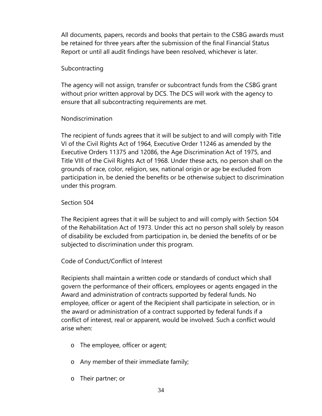All documents, papers, records and books that pertain to the CSBG awards must be retained for three years after the submission of the final Financial Status Report or until all audit findings have been resolved, whichever is later.

# Subcontracting

The agency will not assign, transfer or subcontract funds from the CSBG grant without prior written approval by DCS. The DCS will work with the agency to ensure that all subcontracting requirements are met.

# Nondiscrimination

The recipient of funds agrees that it will be subject to and will comply with Title VI of the Civil Rights Act of 1964, Executive Order 11246 as amended by the Executive Orders 11375 and 12086, the Age Discrimination Act of 1975, and Title VIII of the Civil Rights Act of 1968. Under these acts, no person shall on the grounds of race, color, religion, sex, national origin or age be excluded from participation in, be denied the benefits or be otherwise subject to discrimination under this program.

# Section 504

The Recipient agrees that it will be subject to and will comply with Section 504 of the Rehabilitation Act of 1973. Under this act no person shall solely by reason of disability be excluded from participation in, be denied the benefits of or be subjected to discrimination under this program.

# Code of Conduct/Conflict of Interest

Recipients shall maintain a written code or standards of conduct which shall govern the performance of their officers, employees or agents engaged in the Award and administration of contracts supported by federal funds. No employee, officer or agent of the Recipient shall participate in selection, or in the award or administration of a contract supported by federal funds if a conflict of interest, real or apparent, would be involved. Such a conflict would arise when:

- o The employee, officer or agent;
- o Any member of their immediate family;
- o Their partner; or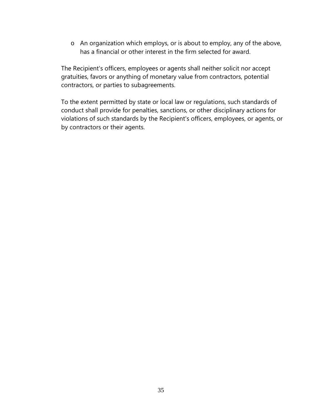o An organization which employs, or is about to employ, any of the above, has a financial or other interest in the firm selected for award.

The Recipient's officers, employees or agents shall neither solicit nor accept gratuities, favors or anything of monetary value from contractors, potential contractors, or parties to subagreements.

To the extent permitted by state or local law or regulations, such standards of conduct shall provide for penalties, sanctions, or other disciplinary actions for violations of such standards by the Recipient's officers, employees, or agents, or by contractors or their agents.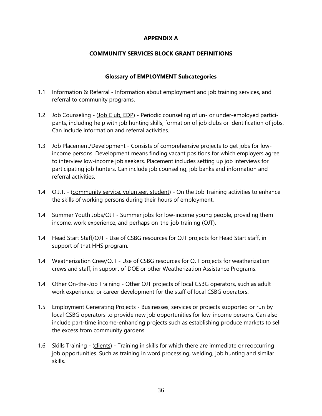### **APPENDIX A**

#### **COMMUNITY SERVICES BLOCK GRANT DEFINITIONS**

#### **Glossary of EMPLOYMENT Subcategories**

- 1.1 Information & Referral Information about employment and job training services, and referral to community programs.
- 1.2 Job Counseling (Job Club, EDP) Periodic counseling of un- or under-employed participants, including help with job hunting skills, formation of job clubs or identification of jobs. Can include information and referral activities.
- 1.3 Job Placement/Development Consists of comprehensive projects to get jobs for lowincome persons. Development means finding vacant positions for which employers agree to interview low-income job seekers. Placement includes setting up job interviews for participating job hunters. Can include job counseling, job banks and information and referral activities.
- 1.4 O.J.T. (community service, volunteer, student) On the Job Training activities to enhance the skills of working persons during their hours of employment.
- 1.4 Summer Youth Jobs/OJT Summer jobs for low-income young people, providing them income, work experience, and perhaps on-the-job training (OJT).
- 1.4 Head Start Staff/OJT Use of CSBG resources for OJT projects for Head Start staff, in support of that HHS program.
- 1.4 Weatherization Crew/OJT Use of CSBG resources for OJT projects for weatherization crews and staff, in support of DOE or other Weatherization Assistance Programs.
- 1.4 Other On-the-Job Training Other OJT projects of local CSBG operators, such as adult work experience, or career development for the staff of local CSBG operators.
- 1.5 Employment Generating Projects Businesses, services or projects supported or run by local CSBG operators to provide new job opportunities for low-income persons. Can also include part-time income-enhancing projects such as establishing produce markets to sell the excess from community gardens.
- 1.6 Skills Training (clients) Training in skills for which there are immediate or reoccurring job opportunities. Such as training in word processing, welding, job hunting and similar skills.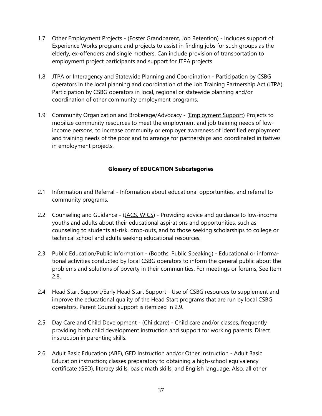- 1.7 Other Employment Projects (Foster Grandparent, Job Retention) Includes support of Experience Works program; and projects to assist in finding jobs for such groups as the elderly, ex-offenders and single mothers. Can include provision of transportation to employment project participants and support for JTPA projects.
- 1.8 JTPA or Interagency and Statewide Planning and Coordination Participation by CSBG operators in the local planning and coordination of the Job Training Partnership Act (JTPA). Participation by CSBG operators in local, regional or statewide planning and/or coordination of other community employment programs.
- 1.9 Community Organization and Brokerage/Advocacy (Employment Support) Projects to mobilize community resources to meet the employment and job training needs of lowincome persons, to increase community or employer awareness of identified employment and training needs of the poor and to arrange for partnerships and coordinated initiatives in employment projects.

## **Glossary of EDUCATION Subcategories**

- 2.1 Information and Referral Information about educational opportunities, and referral to community programs.
- 2.2 Counseling and Guidance (JACS, WICS) Providing advice and guidance to low-income youths and adults about their educational aspirations and opportunities, such as counseling to students at-risk, drop-outs, and to those seeking scholarships to college or technical school and adults seeking educational resources.
- 2.3 Public Education/Public Information (Booths, Public Speaking) Educational or informational activities conducted by local CSBG operators to inform the general public about the problems and solutions of poverty in their communities. For meetings or forums, See Item 2.8.
- 2.4 Head Start Support/Early Head Start Support Use of CSBG resources to supplement and improve the educational quality of the Head Start programs that are run by local CSBG operators. Parent Council support is itemized in 2.9.
- 2.5 Day Care and Child Development (Childcare) Child care and/or classes, frequently providing both child development instruction and support for working parents. Direct instruction in parenting skills.
- 2.6 Adult Basic Education (ABE), GED Instruction and/or Other Instruction Adult Basic Education instruction; classes preparatory to obtaining a high-school equivalency certificate (GED), literacy skills, basic math skills, and English language. Also, all other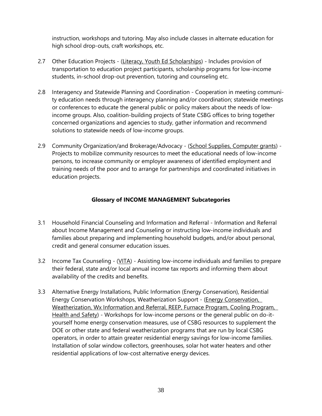instruction, workshops and tutoring. May also include classes in alternate education for high school drop-outs, craft workshops, etc.

- 2.7 Other Education Projects (Literacy, Youth Ed Scholarships) Includes provision of transportation to education project participants, scholarship programs for low-income students, in-school drop-out prevention, tutoring and counseling etc.
- 2.8 Interagency and Statewide Planning and Coordination Cooperation in meeting community education needs through interagency planning and/or coordination; statewide meetings or conferences to educate the general public or policy makers about the needs of lowincome groups. Also, coalition-building projects of State CSBG offices to bring together concerned organizations and agencies to study, gather information and recommend solutions to statewide needs of low-income groups.
- 2.9 Community Organization/and Brokerage/Advocacy (School Supplies, Computer grants) -Projects to mobilize community resources to meet the educational needs of low-income persons, to increase community or employer awareness of identified employment and training needs of the poor and to arrange for partnerships and coordinated initiatives in education projects.

## **Glossary of INCOME MANAGEMENT Subcategories**

- 3.1 Household Financial Counseling and Information and Referral Information and Referral about Income Management and Counseling or instructing low-income individuals and families about preparing and implementing household budgets, and/or about personal, credit and general consumer education issues.
- 3.2 Income Tax Counseling (VITA) Assisting low-income individuals and families to prepare their federal, state and/or local annual income tax reports and informing them about availability of the credits and benefits.
- 3.3 Alternative Energy Installations, Public Information (Energy Conservation), Residential Energy Conservation Workshops, Weatherization Support - (Energy Conservation, Weatherization, Wx Information and Referral, REEP, Furnace Program, Cooling Program, Health and Safety) - Workshops for low-income persons or the general public on do-ityourself home energy conservation measures, use of CSBG resources to supplement the DOE or other state and federal weatherization programs that are run by local CSBG operators, in order to attain greater residential energy savings for low-income families. Installation of solar window collectors, greenhouses, solar hot water heaters and other residential applications of low-cost alternative energy devices.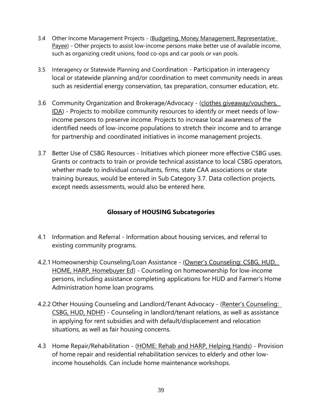- 3.4 Other Income Management Projects (Budgeting, Money Management, Representative Payee) - Other projects to assist low-income persons make better use of available income, such as organizing credit unions, food co-ops and car pools or van pools.
- 3.5 Interagency or Statewide Planning and Coordination Participation in interagency local or statewide planning and/or coordination to meet community needs in areas such as residential energy conservation, tax preparation, consumer education, etc.
- 3.6 Community Organization and Brokerage/Advocacy (clothes giveaway/vouchers, IDA) - Projects to mobilize community resources to identify or meet needs of lowincome persons to preserve income. Projects to increase local awareness of the identified needs of low-income populations to stretch their income and to arrange for partnership and coordinated initiatives in income management projects.
- 3.7 Better Use of CSBG Resources Initiatives which pioneer more effective CSBG uses. Grants or contracts to train or provide technical assistance to local CSBG operators, whether made to individual consultants, firms, state CAA associations or state training bureaus, would be entered in Sub Category 3.7. Data collection projects, except needs assessments, would also be entered here.

# **Glossary of HOUSING Subcategories**

- 4.1 Information and Referral Information about housing services, and referral to existing community programs.
- 4.2.1 Homeownership Counseling/Loan Assistance (Owner's Counseling: CSBG, HUD, HOME, HARP, Homebuyer Ed) - Counseling on homeownership for low-income persons, including assistance completing applications for HUD and Farmer's Home Administration home loan programs.
- 4.2.2 Other Housing Counseling and Landlord/Tenant Advocacy (Renter's Counseling: CSBG, HUD, NDHF) - Counseling in landlord/tenant relations, as well as assistance in applying for rent subsidies and with default/displacement and relocation situations, as well as fair housing concerns.
- 4.3 Home Repair/Rehabilitation (HOME: Rehab and HARP, Helping Hands) Provision of home repair and residential rehabilitation services to elderly and other lowincome households. Can include home maintenance workshops.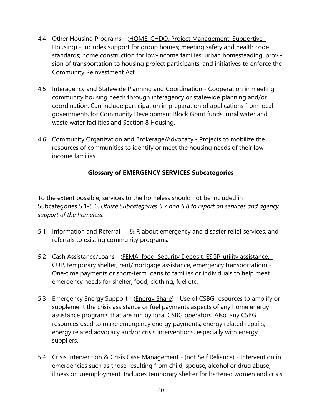- 4.4 Other Housing Programs (HOME: CHDO, Project Management, Supportive Housing) - Includes support for group homes; meeting safety and health code standards; home construction for low-income families; urban homesteading; provision of transportation to housing project participants; and initiatives to enforce the Community Reinvestment Act.
- 4.5 Interagency and Statewide Planning and Coordination Cooperation in meeting community housing needs through interagency or statewide planning and/or coordination. Can include participation in preparation of applications from local governments for Community Development Block Grant funds, rural water and waste water facilities and Section 8 Housing.
- 4.6 Community Organization and Brokerage/Advocacy Projects to mobilize the resources of communities to identify or meet the housing needs of their lowincome families.

# **Glossary of EMERGENCY SERVICES Subcategories**

To the extent possible, services to the homeless should not be included in Subcategories 5.1-5.6. *Utilize Subcategories 5.7 and 5.8 to report on services and agency support of the homeless.*

- 5.1 Information and Referral I & R about emergency and disaster relief services, and referrals to existing community programs.
- 5.2 Cash Assistance/Loans (FEMA, food, Security Deposit, ESGP-utility assistance, CUP, temporary shelter, rent/mortgage assistance, emergency transportation) - One-time payments or short-term loans to families or individuals to help meet emergency needs for shelter, food, clothing, fuel etc.
- 5.3 Emergency Energy Support (Energy Share) Use of CSBG resources to amplify or supplement the crisis assistance or fuel payments aspects of any home energy assistance programs that are run by local CSBG operators. Also, any CSBG resources used to make emergency energy payments, energy related repairs, energy related advocacy and/or crisis interventions, especially with energy suppliers.
- 5.4 Crisis Intervention & Crisis Case Management (not Self Reliance) Intervention in emergencies such as those resulting from child, spouse, alcohol or drug abuse, illness or unemployment. Includes temporary shelter for battered women and crisis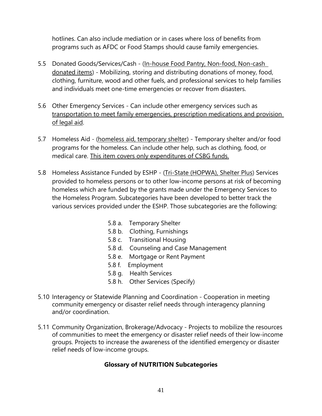hotlines. Can also include mediation or in cases where loss of benefits from programs such as AFDC or Food Stamps should cause family emergencies.

- 5.5 Donated Goods/Services/Cash (In-house Food Pantry, Non-food, Non-cash donated items) - Mobilizing, storing and distributing donations of money, food, clothing, furniture, wood and other fuels, and professional services to help families and individuals meet one-time emergencies or recover from disasters.
- 5.6 Other Emergency Services Can include other emergency services such as transportation to meet family emergencies, prescription medications and provision of legal aid.
- 5.7 Homeless Aid (homeless aid, temporary shelter) Temporary shelter and/or food programs for the homeless. Can include other help, such as clothing, food, or medical care. This item covers only expenditures of CSBG funds.
- 5.8 Homeless Assistance Funded by ESHP (Tri-State (HOPWA), Shelter Plus) Services provided to homeless persons or to other low-income persons at risk of becoming homeless which are funded by the grants made under the Emergency Services to the Homeless Program. Subcategories have been developed to better track the various services provided under the ESHP. Those subcategories are the following:
	- 5.8 a. Temporary Shelter
	- 5.8 b. Clothing, Furnishings
	- 5.8 c. Transitional Housing
	- 5.8 d. Counseling and Case Management
	- 5.8 e. Mortgage or Rent Payment
	- 5.8 f. Employment
	- 5.8 g. Health Services
	- 5.8 h. Other Services (Specify)
- 5.10 Interagency or Statewide Planning and Coordination Cooperation in meeting community emergency or disaster relief needs through interagency planning and/or coordination.
- 5.11 Community Organization, Brokerage/Advocacy Projects to mobilize the resources of communities to meet the emergency or disaster relief needs of their low-income groups. Projects to increase the awareness of the identified emergency or disaster relief needs of low-income groups.

# **Glossary of NUTRITION Subcategories**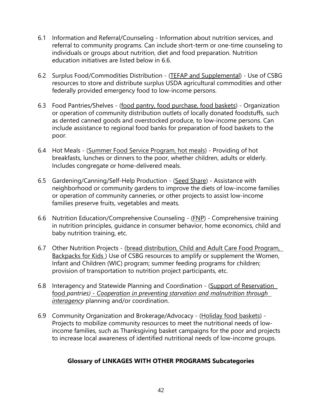- 6.1 Information and Referral/Counseling Information about nutrition services, and referral to community programs. Can include short-term or one-time counseling to individuals or groups about nutrition, diet and food preparation. Nutrition education initiatives are listed below in 6.6.
- 6.2 Surplus Food/Commodities Distribution (TEFAP and Supplemental) Use of CSBG resources to store and distribute surplus USDA agricultural commodities and other federally provided emergency food to low-income persons.
- 6.3 Food Pantries/Shelves (food pantry, food purchase, food baskets) Organization or operation of community distribution outlets of locally donated foodstuffs, such as dented canned goods and overstocked produce, to low-income persons. Can include assistance to regional food banks for preparation of food baskets to the poor.
- 6.4 Hot Meals (Summer Food Service Program, hot meals) Providing of hot breakfasts, lunches or dinners to the poor, whether children, adults or elderly. Includes congregate or home-delivered meals.
- 6.5 Gardening/Canning/Self-Help Production (Seed Share) Assistance with neighborhood or community gardens to improve the diets of low-income families or operation of community canneries, or other projects to assist low-income families preserve fruits, vegetables and meats.
- 6.6 Nutrition Education/Comprehensive Counseling (FNP) Comprehensive training in nutrition principles, guidance in consumer behavior, home economics, child and baby nutrition training, etc.
- 6.7 Other Nutrition Projects (bread distribution, Child and Adult Care Food Program, Backpacks for Kids ) Use of CSBG resources to amplify or supplement the Women, Infant and Children (WIC) program; summer feeding programs for children; provision of transportation to nutrition project participants, etc.
- 6.8 Interagency and Statewide Planning and Coordination (Support of Reservation food *pantries) - Cooperation in preventing starvation and malnutrition through interagency* planning and/or coordination.
- 6.9 Community Organization and Brokerage/Advocacy (Holiday food baskets) Projects to mobilize community resources to meet the nutritional needs of lowincome families, such as Thanksgiving basket campaigns for the poor and projects to increase local awareness of identified nutritional needs of low-income groups.

# **Glossary of LINKAGES WITH OTHER PROGRAMS Subcategories**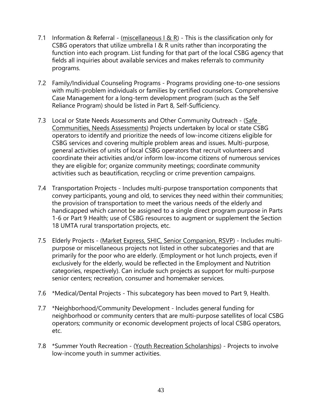- 7.1 Information & Referral (miscellaneous I & R) This is the classification only for CSBG operators that utilize umbrella I & R units rather than incorporating the function into each program. List funding for that part of the local CSBG agency that fields all inquiries about available services and makes referrals to community programs.
- 7.2 Family/Individual Counseling Programs Programs providing one-to-one sessions with multi-problem individuals or families by certified counselors. Comprehensive Case Management for a long-term development program (such as the Self Reliance Program) should be listed in Part 8, Self-Sufficiency.
- 7.3 Local or State Needs Assessments and Other Community Outreach (Safe Communities, Needs Assessments) Projects undertaken by local or state CSBG operators to identify and prioritize the needs of low-income citizens eligible for CSBG services and covering multiple problem areas and issues. Multi-purpose, general activities of units of local CSBG operators that recruit volunteers and coordinate their activities and/or inform low-income citizens of numerous services they are eligible for; organize community meetings; coordinate community activities such as beautification, recycling or crime prevention campaigns.
- 7.4 Transportation Projects Includes multi-purpose transportation components that convey participants, young and old, to services they need within their communities; the provision of transportation to meet the various needs of the elderly and handicapped which cannot be assigned to a single direct program purpose in Parts 1-6 or Part 9 Health; use of CSBG resources to augment or supplement the Section 18 UMTA rural transportation projects, etc.
- 7.5 Elderly Projects (Market Express, SHIC, Senior Companion, RSVP) Includes multipurpose or miscellaneous projects not listed in other subcategories and that are primarily for the poor who are elderly. (Employment or hot lunch projects, even if exclusively for the elderly, would be reflected in the Employment and Nutrition categories, respectively). Can include such projects as support for multi-purpose senior centers; recreation, consumer and homemaker services.
- 7.6 \*Medical/Dental Projects This subcategory has been moved to Part 9, Health.
- 7.7 \*Neighborhood/Community Development Includes general funding for neighborhood or community centers that are multi-purpose satellites of local CSBG operators; community or economic development projects of local CSBG operators, etc.
- 7.8 \*Summer Youth Recreation (Youth Recreation Scholarships) Projects to involve low-income youth in summer activities.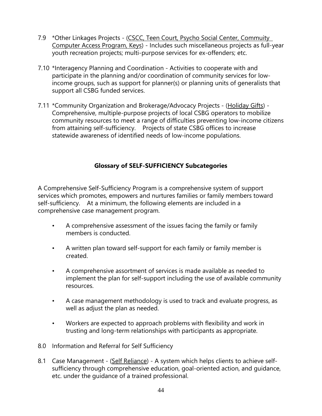- 7.9 \* Other Linkages Projects (CSCC, Teen Court, Psycho Social Center, Commuity Computer Access Program, Keys) - Includes such miscellaneous projects as full-year youth recreation projects; multi-purpose services for ex-offenders; etc.
- 7.10 \*Interagency Planning and Coordination Activities to cooperate with and participate in the planning and/or coordination of community services for lowincome groups, such as support for planner(s) or planning units of generalists that support all CSBG funded services.
- 7.11 \*Community Organization and Brokerage/Advocacy Projects (Holiday Gifts) Comprehensive, multiple-purpose projects of local CSBG operators to mobilize community resources to meet a range of difficulties preventing low-income citizens from attaining self-sufficiency. Projects of state CSBG offices to increase statewide awareness of identified needs of low-income populations.

# **Glossary of SELF-SUFFICIENCY Subcategories**

A Comprehensive Self-Sufficiency Program is a comprehensive system of support services which promotes, empowers and nurtures families or family members toward self-sufficiency. At a minimum, the following elements are included in a comprehensive case management program.

- A comprehensive assessment of the issues facing the family or family members is conducted.
- A written plan toward self-support for each family or family member is created.
- A comprehensive assortment of services is made available as needed to implement the plan for self-support including the use of available community resources.
- A case management methodology is used to track and evaluate progress, as well as adjust the plan as needed.
- Workers are expected to approach problems with flexibility and work in trusting and long-term relationships with participants as appropriate.
- 8.0 Information and Referral for Self Sufficiency
- 8.1 Case Management (Self Reliance) A system which helps clients to achieve selfsufficiency through comprehensive education, goal-oriented action, and guidance, etc. under the guidance of a trained professional.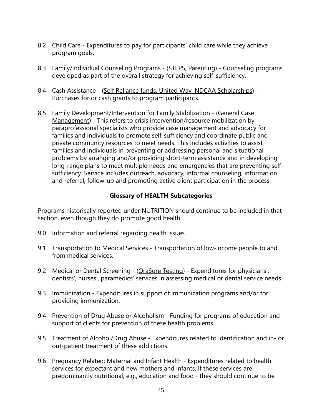- 8.2 Child Care Expenditures to pay for participants' child care while they achieve program goals.
- 8.3 Family/Individual Counseling Programs (STEPS, Parenting) Counseling programs developed as part of the overall strategy for achieving self-sufficiency.
- 8.4 Cash Assistance (Self Reliance funds, United Way, NDCAA Scholarships) -Purchases for or cash grants to program participants.
- 8.5 Family Development/Intervention for Family Stabilization (General Case Management) - This refers to crisis intervention/resource mobilization by paraprofessional specialists who provide case management and advocacy for families and individuals to promote self-sufficiency and coordinate public and private community resources to meet needs. This includes activities to assist families and individuals in preventing or addressing personal and situational problems by arranging and/or providing short-term assistance and in developing long-range plans to meet multiple needs and emergencies that are preventing selfsufficiency. Service includes outreach, advocacy, informal counseling, information and referral, follow-up and promoting active client participation in the process.

# **Glossary of HEALTH Subcategories**

Programs historically reported under NUTRITION should continue to be included in that section, even though they do promote good health.

- 9.0 Information and referral regarding health issues.
- 9.1 Transportation to Medical Services Transportation of low-income people to and from medical services.
- 9.2 Medical or Dental Screening (OraSure Testing) Expenditures for physicians', dentists', nurses', paramedics' services in assessing medical or dental service needs.
- 9.3 Immunization Expenditures in support of immunization programs and/or for providing immunization.
- 9.4 Prevention of Drug Abuse or Alcoholism Funding for programs of education and support of clients for prevention of these health problems.
- 9.5 Treatment of Alcohol/Drug Abuse Expenditures related to identification and in- or out-patient treatment of these addictions.
- 9.6 Pregnancy Related; Maternal and Infant Health Expenditures related to health services for expectant and new mothers and infants. If these services are predominantly nutritional, e.g., education and food - they should continue to be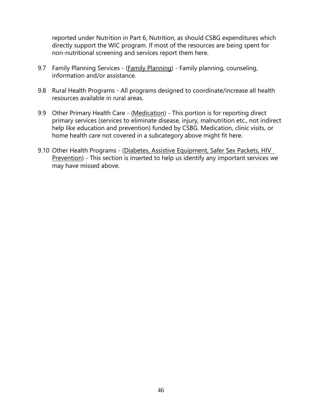reported under Nutrition in Part 6, Nutrition, as should CSBG expenditures which directly support the WIC program. If most of the resources are being spent for non-nutritional screening and services report them here.

- 9.7 Family Planning Services (Family Planning) Family planning, counseling, information and/or assistance.
- 9.8 Rural Health Programs All programs designed to coordinate/increase all health resources available in rural areas.
- 9.9 Other Primary Health Care (Medication) This portion is for reporting direct primary services (services to eliminate disease, injury, malnutrition etc., not indirect help like education and prevention) funded by CSBG. Medication, clinic visits, or home health care not covered in a subcategory above might fit here.
- 9.10 Other Health Programs (Diabetes, Assistive Equipment, Safer Sex Packets, HIV Prevention) - This section is inserted to help us identify any important services we may have missed above.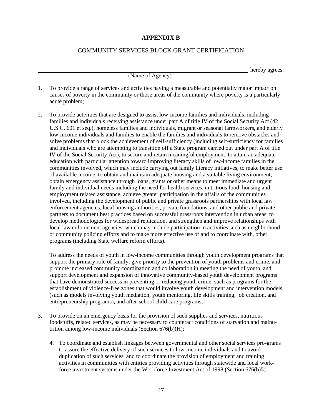#### **APPENDIX B**

### COMMUNITY SERVICES BLOCK GRANT CERTIFICATION

hereby agrees:

(Name of Agency)

- 1. To provide a range of services and activities having a measurable and potentially major impact on causes of poverty in the community or those areas of the community where poverty is a particularly acute problem;
- 2. To provide activities that are designed to assist low-income families and individuals, including families and individuals receiving assistance under part A of title IV of the Social Security Act (42 U.S.C. 601 et seq.), homeless families and individuals, migrant or seasonal farmworkers, and elderly low-income individuals and families to enable the families and individuals to remove obstacles and solve problems that block the achievement of self-sufficiency (including self-sufficiency for families and individuals who are attempting to transition off a State program carried out under part A of title IV of the Social Security Act), to secure and retain meaningful employment, to attain an adequate education with particular attention toward improving literacy skills of low-income families in the communities involved, which may include carrying out family literacy initiatives, to make better use of available income, to obtain and maintain adequate housing and a suitable living environment, obtain emergency assistance through loans, grants or other means to meet immediate and urgent family and individual needs including the need for health services, nutritious food, housing and employment related assistance, achieve greater participation in the affairs of the communities involved, including the development of public and private grassroots partnerships with local law enforcement agencies, local housing authorities, private foundations, and other public and private partners to document best practices based on successful grassroots intervention in urban areas, to develop methodologies for widespread replication, and strengthen and improve relationships with local law enforcement agencies, which may include participation in activities such as neighborhood or community policing efforts and to make more effective use of and to coordinate with, other programs (including State welfare reform efforts).

To address the needs of youth in low-income communities through youth development programs that support the primary role of family, give priority to the prevention of youth problems and crime, and promote increased community coordination and collaboration in meeting the need of youth, and support development and expansion of innovative community-based youth development programs that have demonstrated success in preventing or reducing youth crime, such as programs for the establishment of violence-free zones that would involve youth development and intervention models (such as models involving youth mediation, youth mentoring, life skills training, job creation, and entrepreneurship programs), and after-school child care programs;

- 3. To provide on an emergency basis for the provision of such supplies and services, nutritious foodstuffs, related services, as may be necessary to counteract conditions of starvation and malnutrition among low-income individuals (Section 676(b)(H);
	- 4. To coordinate and establish linkages between governmental and other social services pro-grams to assure the effective delivery of such services to low-income individuals and to avoid duplication of such services, and to coordinate the provision of employment and training activities in communities with entities providing activities through statewide and local workforce investment systems under the Workforce Investment Act of 1998 (Section 676(b)5).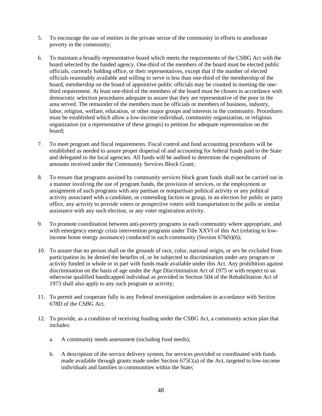- 5. To encourage the use of entities in the private sector of the community in efforts to ameliorate poverty in the community;
- 6. To maintain a broadly representative board which meets the requirements of the CSBG Act with the board selected by the funded agency. One-third of the members of the board must be elected public officials, currently holding office, or their representatives, except that if the number of elected officials reasonably available and willing to serve is less than one-third of the membership of the board, membership on the board of appointive public officials may be counted in meeting the onethird requirement. At least one-third of the members of the board must be chosen in accordance with democratic selection procedures adequate to assure that they are representative of the poor in the area served. The remainder of the members must be officials or members of business, industry, labor, religion, welfare, education, or other major groups and interests in the community. Procedures must be established which allow a low-income individual, community organization, or religious organization (or a representative of these groups) to petition for adequate representation on the board;
- 7. To meet program and fiscal requirements. Fiscal control and fund accounting procedures will be established as needed to assure proper dispersal of and accounting for federal funds paid to the State and delegated to the local agencies. All funds will be audited to determine the expenditures of amounts received under the Community Services Block Grant;
- 8. To ensure that programs assisted by community services block grant funds shall not be carried out in a manner involving the use of program funds, the provision of services, or the employment or assignment of such programs with any partisan or nonpartisan political activity or any political activity associated with a candidate, or contending faction or group, in an election for public or party office, any activity to provide voters or prospective voters with transportation to the polls or similar assistance with any such election, or any voter registration activity.
- 9. To promote coordination between anti-poverty programs in each community where appropriate, and with emergency energy crisis intervention programs under Title XXVI of this Act (relating to lowincome home energy assistance) conducted in such community (Section 676(b)(6);
- 10. To assure that no person shall on the grounds of race, color, national origin, or sex be excluded from participation in, be denied the benefits of, or be subjected to discrimination under any program or activity funded in whole or in part with funds made available under this Act. Any prohibition against discrimination on the basis of age under the Age Discrimination Act of 1975 or with respect to an otherwise qualified handicapped individual as provided in Section 504 of the Rehabilitation Act of 1973 shall also apply to any such program or activity;
- 11. To permit and cooperate fully in any Federal investigation undertaken in accordance with Section 678D of the CSBG Act.
- 12. To provide, as a condition of receiving funding under the CSBG Act, a community action plan that includes:
	- a. A community needs assessment (including food needs);
	- b. A description of the service delivery system, for services provided or coordinated with funds made available through grants made under Section 675C(a) of the Act, targeted to low-income individuals and families in communities within the State;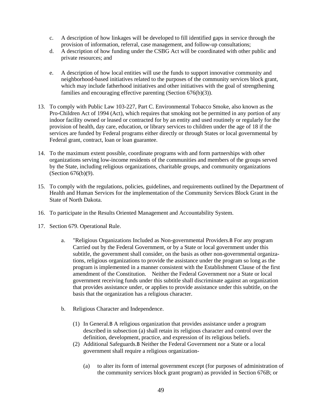- c. A description of how linkages will be developed to fill identified gaps in service through the provision of information, referral, case management, and follow-up consultations;
- d. A description of how funding under the CSBG Act will be coordinated with other public and private resources; and
- e. A description of how local entities will use the funds to support innovative community and neighborhood-based initiatives related to the purposes of the community services block grant, which may include fatherhood initiatives and other initiatives with the goal of strengthening families and encouraging effective parenting (Section 676(b)(3)).
- 13. To comply with Public Law 103-227, Part C. Environmental Tobacco Smoke, also known as the Pro-Children Act of 1994 (Act), which requires that smoking not be permitted in any portion of any indoor facility owned or leased or contracted for by an entity and used routinely or regularly for the provision of health, day care, education, or library services to children under the age of 18 if the services are funded by Federal programs either directly or through States or local governmental by Federal grant, contract, loan or loan guarantee.
- 14. To the maximum extent possible, coordinate programs with and form partnerships with other organizations serving low-income residents of the communities and members of the groups served by the State, including religious organizations, charitable groups, and community organizations (Section 676(b)(9).
- 15. To comply with the regulations, policies, guidelines, and requirements outlined by the Department of Health and Human Services for the implementation of the Community Services Block Grant in the State of North Dakota.
- 16. To participate in the Results Oriented Management and Accountability System.
- 17. Section 679. Operational Rule.
	- a. "Religious Organizations Included as Non-governmental Providers.B For any program Carried out by the Federal Government, or by a State or local government under this subtitle, the government shall consider, on the basis as other non-governmental organizations, religious organizations to provide the assistance under the program so long as the program is implemented in a manner consistent with the Establishment Clause of the first amendment of the Constitution. Neither the Federal Government nor a State or local government receiving funds under this subtitle shall discriminate against an organization that provides assistance under, or applies to provide assistance under this subtitle, on the basis that the organization has a religious character.
	- b. Religious Character and Independence.
		- (1) In General.B A religious organization that provides assistance under a program described in subsection (a) shall retain its religious character and control over the definition, development, practice, and expression of its religious beliefs.
		- (2) Additional Safeguards.B Neither the Federal Government nor a State or a local government shall require a religious organization-
			- (a) to alter its form of internal government except (for purposes of administration of the community services block grant program) as provided in Section 676B; or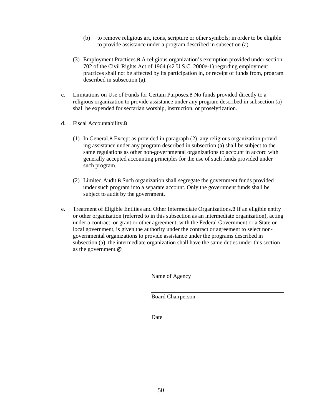- (b) to remove religious art, icons, scripture or other symbols; in order to be eligible to provide assistance under a program described in subsection (a).
- (3) Employment Practices.B A religious organization's exemption provided under section 702 of the Civil Rights Act of 1964 (42 U.S.C. 2000e-1) regarding employment practices shall not be affected by its participation in, or receipt of funds from, program described in subsection (a).
- c. Limitations on Use of Funds for Certain Purposes.B No funds provided directly to a religious organization to provide assistance under any program described in subsection (a) shall be expended for sectarian worship, instruction, or proselytization.
- d. Fiscal Accountability.B
	- (1) In General.B Except as provided in paragraph (2), any religious organization providing assistance under any program described in subsection (a) shall be subject to the same regulations as other non-governmental organizations to account in accord with generally accepted accounting principles for the use of such funds provided under such program.
	- (2) Limited Audit.B Such organization shall segregate the government funds provided under such program into a separate account. Only the government funds shall be subject to audit by the government.
- e. Treatment of Eligible Entities and Other Intermediate Organizations.B If an eligible entity or other organization (referred to in this subsection as an intermediate organization), acting under a contract, or grant or other agreement, with the Federal Government or a State or local government, is given the authority under the contract or agreement to select nongovernmental organizations to provide assistance under the programs described in subsection (a), the intermediate organization shall have the same duties under this section as the government.@

Name of Agency

Board Chairperson

Date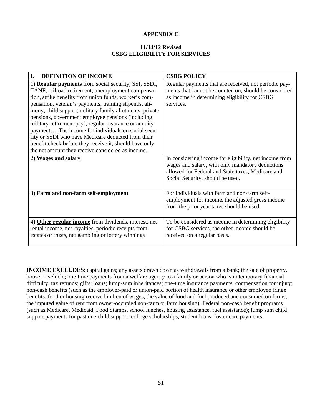#### **APPENDIX C**

#### **11/14/12 Revised CSBG ELIGIBILITY FOR SERVICES**

| I.<br><b>DEFINITION OF INCOME</b>                                                                                                                                                                                                                                                                                                                                                                                                                                                                                                                                                                                                           | <b>CSBG POLICY</b>                                                                                                                                                                                  |  |
|---------------------------------------------------------------------------------------------------------------------------------------------------------------------------------------------------------------------------------------------------------------------------------------------------------------------------------------------------------------------------------------------------------------------------------------------------------------------------------------------------------------------------------------------------------------------------------------------------------------------------------------------|-----------------------------------------------------------------------------------------------------------------------------------------------------------------------------------------------------|--|
| 1) <b>Regular payments</b> from social security, SSI, SSDI,<br>TANF, railroad retirement, unemployment compensa-<br>tion, strike benefits from union funds, worker's com-<br>pensation, veteran's payments, training stipends, ali-<br>mony, child support, military family allotments, private<br>pensions, government employee pensions (including<br>military retirement pay), regular insurance or annuity<br>payments. The income for individuals on social secu-<br>rity or SSDI who have Medicare deducted from their<br>benefit check before they receive it, should have only<br>the net amount they receive considered as income. | Regular payments that are received, not periodic pay-<br>ments that cannot be counted on, should be considered<br>as income in determining eligibility for CSBG<br>services.                        |  |
| 2) Wages and salary                                                                                                                                                                                                                                                                                                                                                                                                                                                                                                                                                                                                                         | In considering income for eligibility, net income from<br>wages and salary, with only mandatory deductions<br>allowed for Federal and State taxes, Medicare and<br>Social Security, should be used. |  |
| 3) Farm and non-farm self-employment                                                                                                                                                                                                                                                                                                                                                                                                                                                                                                                                                                                                        | For individuals with farm and non-farm self-<br>employment for income, the adjusted gross income<br>from the prior year taxes should be used.                                                       |  |
| 4) Other regular income from dividends, interest, net<br>rental income, net royalties, periodic receipts from<br>estates or trusts, net gambling or lottery winnings                                                                                                                                                                                                                                                                                                                                                                                                                                                                        | To be considered as income in determining eligibility<br>for CSBG services, the other income should be<br>received on a regular basis.                                                              |  |

**INCOME EXCLUDES**: capital gains; any assets drawn down as withdrawals from a bank; the sale of property, house or vehicle; one-time payments from a welfare agency to a family or person who is in temporary financial difficulty; tax refunds; gifts; loans; lump-sum inheritances; one-time insurance payments; compensation for injury; non-cash benefits (such as the employer-paid or union-paid portion of health insurance or other employee fringe benefits, food or housing received in lieu of wages, the value of food and fuel produced and consumed on farms, the imputed value of rent from owner-occupied non-farm or farm housing); Federal non-cash benefit programs (such as Medicare, Medicaid, Food Stamps, school lunches, housing assistance, fuel assistance); lump sum child support payments for past due child support; college scholarships; student loans; foster care payments.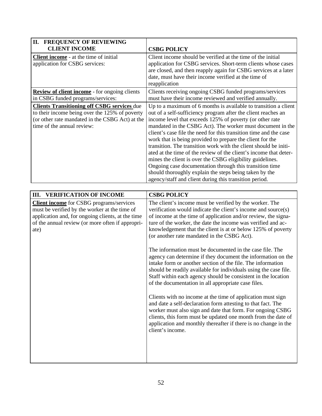| <b>II. FREQUENCY OF REVIEWING</b><br><b>CLIENT INCOME</b>                                                                                                                                                                                                  | <b>CSBG POLICY</b>                                                                                                                                                                                                                                                                                                                                                                                                                                                                                                                                                                                                                                                                                                                                                                                                                                                                                                                                                                                                                                                                                                                          |
|------------------------------------------------------------------------------------------------------------------------------------------------------------------------------------------------------------------------------------------------------------|---------------------------------------------------------------------------------------------------------------------------------------------------------------------------------------------------------------------------------------------------------------------------------------------------------------------------------------------------------------------------------------------------------------------------------------------------------------------------------------------------------------------------------------------------------------------------------------------------------------------------------------------------------------------------------------------------------------------------------------------------------------------------------------------------------------------------------------------------------------------------------------------------------------------------------------------------------------------------------------------------------------------------------------------------------------------------------------------------------------------------------------------|
| <b>Client income</b> - at the time of initial<br>application for CSBG services:                                                                                                                                                                            | Client income should be verified at the time of the initial<br>application for CSBG services. Short-term clients whose cases<br>are closed, and then reapply again for CSBG services at a later<br>date, must have their income verified at the time of<br>reapplication                                                                                                                                                                                                                                                                                                                                                                                                                                                                                                                                                                                                                                                                                                                                                                                                                                                                    |
| <b>Review of client income</b> - for ongoing clients<br>in CSBG funded programs/services:                                                                                                                                                                  | Clients receiving ongoing CSBG funded programs/services<br>must have their income reviewed and verified annually.                                                                                                                                                                                                                                                                                                                                                                                                                                                                                                                                                                                                                                                                                                                                                                                                                                                                                                                                                                                                                           |
| <b>Clients Transitioning off CSBG services due</b><br>to their income being over the 125% of poverty<br>(or other rate mandated in the CSBG Act) at the<br>time of the annual review:                                                                      | Up to a maximum of 6 months is available to transition a client<br>out of a self-sufficiency program after the client reaches an<br>income level that exceeds 125% of poverty (or other rate<br>mandated in the CSBG Act). The worker must document in the<br>client's case file the need for this transition time and the case<br>work that is being provided to prepare the client for the<br>transition. The transition work with the client should be initi-<br>ated at the time of the review of the client's income that deter-<br>mines the client is over the CSBG eligibility guidelines.<br>Ongoing case documentation through this transition time<br>should thoroughly explain the steps being taken by the<br>agency/staff and client during this transition period.                                                                                                                                                                                                                                                                                                                                                           |
|                                                                                                                                                                                                                                                            |                                                                                                                                                                                                                                                                                                                                                                                                                                                                                                                                                                                                                                                                                                                                                                                                                                                                                                                                                                                                                                                                                                                                             |
| <b>VERIFICATION OF INCOME</b><br>III.<br><b>Client income</b> for CSBG programs/services<br>must be verified by the worker at the time of<br>application and, for ongoing clients, at the time<br>of the annual review (or more often if appropri-<br>ate) | <b>CSBG POLICY</b><br>The client's income must be verified by the worker. The<br>verification would indicate the client's income and source(s)<br>of income at the time of application and/or review, the signa-<br>ture of the worker, the date the income was verified and ac-<br>knowledgement that the client is at or below 125% of poverty<br>(or another rate mandated in the CSBG Act).<br>The information must be documented in the case file. The<br>agency can determine if they document the information on the<br>intake form or another section of the file. The information<br>should be readily available for individuals using the case file.<br>Staff within each agency should be consistent in the location<br>of the documentation in all appropriate case files.<br>Clients with no income at the time of application must sign<br>and date a self-declaration form attesting to that fact. The<br>worker must also sign and date that form. For ongoing CSBG<br>clients, this form must be updated one month from the date of<br>application and monthly thereafter if there is no change in the<br>client's income. |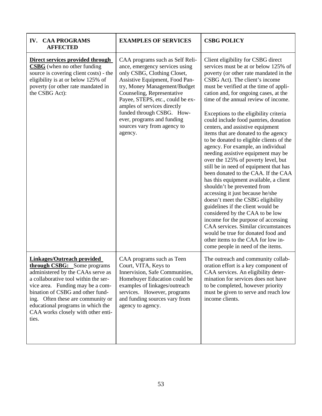| <b>CAA PROGRAMS</b><br>IV.<br><b>AFFECTED</b>                                                                                                                                                                                                                                                                                                         | <b>EXAMPLES OF SERVICES</b>                                                                                                                                                                                                                                                                                                                                              | <b>CSBG POLICY</b>                                                                                                                                                                                                                                                                                                                                                                                                                                                                                                                                                                                                                                                                                                                                                                                                                                                                                                                                                                                                                                                                                                        |
|-------------------------------------------------------------------------------------------------------------------------------------------------------------------------------------------------------------------------------------------------------------------------------------------------------------------------------------------------------|--------------------------------------------------------------------------------------------------------------------------------------------------------------------------------------------------------------------------------------------------------------------------------------------------------------------------------------------------------------------------|---------------------------------------------------------------------------------------------------------------------------------------------------------------------------------------------------------------------------------------------------------------------------------------------------------------------------------------------------------------------------------------------------------------------------------------------------------------------------------------------------------------------------------------------------------------------------------------------------------------------------------------------------------------------------------------------------------------------------------------------------------------------------------------------------------------------------------------------------------------------------------------------------------------------------------------------------------------------------------------------------------------------------------------------------------------------------------------------------------------------------|
| Direct services provided through<br><b>CSBG</b> (when no other funding<br>source is covering client costs) - the<br>eligibility is at or below 125% of<br>poverty (or other rate mandated in<br>the CSBG Act):                                                                                                                                        | CAA programs such as Self Reli-<br>ance, emergency services using<br>only CSBG, Clothing Closet,<br>Assistive Equipment, Food Pan-<br>try, Money Management/Budget<br>Counseling, Representative<br>Payee, STEPS, etc., could be ex-<br>amples of services directly<br>funded through CSBG. How-<br>ever, programs and funding<br>sources vary from agency to<br>agency. | Client eligibility for CSBG direct<br>services must be at or below 125% of<br>poverty (or other rate mandated in the<br>CSBG Act). The client's income<br>must be verified at the time of appli-<br>cation and, for ongoing cases, at the<br>time of the annual review of income.<br>Exceptions to the eligibility criteria<br>could include food pantries, donation<br>centers, and assistive equipment<br>items that are donated to the agency<br>to be donated to eligible clients of the<br>agency. For example, an individual<br>needing assistive equipment may be<br>over the 125% of poverty level, but<br>still be in need of equipment that has<br>been donated to the CAA. If the CAA<br>has this equipment available, a client<br>shouldn't be prevented from<br>accessing it just because he/she<br>doesn't meet the CSBG eligibility<br>guidelines if the client would be<br>considered by the CAA to be low<br>income for the purpose of accessing<br>CAA services. Similar circumstances<br>would be true for donated food and<br>other items to the CAA for low in-<br>come people in need of the items. |
| <b>Linkages/Outreach provided</b><br><b>through CSBG:</b> Some programs<br>administered by the CAAs serve as<br>a collaborative tool within the ser-<br>vice area. Funding may be a com-<br>bination of CSBG and other fund-<br>ing. Often these are community or<br>educational programs in which the<br>CAA works closely with other enti-<br>ties. | CAA programs such as Teen<br>Court, VITA, Keys to<br>Innervision, Safe Communities,<br>Homebuyer Education could be<br>examples of linkages/outreach<br>services. However, programs<br>and funding sources vary from<br>agency to agency.                                                                                                                                | The outreach and community collab-<br>oration effort is a key component of<br>CAA services. An eligibility deter-<br>mination for services does not have<br>to be completed, however priority<br>must be given to serve and reach low<br>income clients.                                                                                                                                                                                                                                                                                                                                                                                                                                                                                                                                                                                                                                                                                                                                                                                                                                                                  |